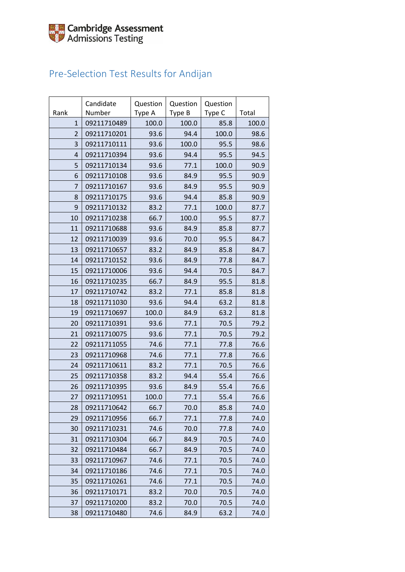## Pre-Selection Test Results for Andijan

|                | Candidate   | Question | Question | Question |       |
|----------------|-------------|----------|----------|----------|-------|
| Rank           | Number      | Type A   | Type B   | Type C   | Total |
| $\mathbf{1}$   | 09211710489 | 100.0    | 100.0    | 85.8     | 100.0 |
| $\overline{2}$ | 09211710201 | 93.6     | 94.4     | 100.0    | 98.6  |
| 3              | 09211710111 | 93.6     | 100.0    | 95.5     | 98.6  |
| $\overline{4}$ | 09211710394 | 93.6     | 94.4     | 95.5     | 94.5  |
| 5              | 09211710134 | 93.6     | 77.1     | 100.0    | 90.9  |
| 6              | 09211710108 | 93.6     | 84.9     | 95.5     | 90.9  |
| 7              | 09211710167 | 93.6     | 84.9     | 95.5     | 90.9  |
| 8              | 09211710175 | 93.6     | 94.4     | 85.8     | 90.9  |
| 9              | 09211710132 | 83.2     | 77.1     | 100.0    | 87.7  |
| 10             | 09211710238 | 66.7     | 100.0    | 95.5     | 87.7  |
| 11             | 09211710688 | 93.6     | 84.9     | 85.8     | 87.7  |
| 12             | 09211710039 | 93.6     | 70.0     | 95.5     | 84.7  |
| 13             | 09211710657 | 83.2     | 84.9     | 85.8     | 84.7  |
| 14             | 09211710152 | 93.6     | 84.9     | 77.8     | 84.7  |
| 15             | 09211710006 | 93.6     | 94.4     | 70.5     | 84.7  |
| 16             | 09211710235 | 66.7     | 84.9     | 95.5     | 81.8  |
| 17             | 09211710742 | 83.2     | 77.1     | 85.8     | 81.8  |
| 18             | 09211711030 | 93.6     | 94.4     | 63.2     | 81.8  |
| 19             | 09211710697 | 100.0    | 84.9     | 63.2     | 81.8  |
| 20             | 09211710391 | 93.6     | 77.1     | 70.5     | 79.2  |
| 21             | 09211710075 | 93.6     | 77.1     | 70.5     | 79.2  |
| 22             | 09211711055 | 74.6     | 77.1     | 77.8     | 76.6  |
| 23             | 09211710968 | 74.6     | 77.1     | 77.8     | 76.6  |
| 24             | 09211710611 | 83.2     | 77.1     | 70.5     | 76.6  |
| 25             | 09211710358 | 83.2     | 94.4     | 55.4     | 76.6  |
| 26             | 09211710395 | 93.6     | 84.9     | 55.4     | 76.6  |
| 27             | 09211710951 | 100.0    | 77.1     | 55.4     | 76.6  |
| 28             | 09211710642 | 66.7     | 70.0     | 85.8     | 74.0  |
| 29             | 09211710956 | 66.7     | 77.1     | 77.8     | 74.0  |
| 30             | 09211710231 | 74.6     | 70.0     | 77.8     | 74.0  |
| 31             | 09211710304 | 66.7     | 84.9     | 70.5     | 74.0  |
| 32             | 09211710484 | 66.7     | 84.9     | 70.5     | 74.0  |
| 33             | 09211710967 | 74.6     | 77.1     | 70.5     | 74.0  |
| 34             | 09211710186 | 74.6     | 77.1     | 70.5     | 74.0  |
| 35             | 09211710261 | 74.6     | 77.1     | 70.5     | 74.0  |
| 36             | 09211710171 | 83.2     | 70.0     | 70.5     | 74.0  |
| 37             | 09211710200 | 83.2     | 70.0     | 70.5     | 74.0  |
| 38             | 09211710480 | 74.6     | 84.9     | 63.2     | 74.0  |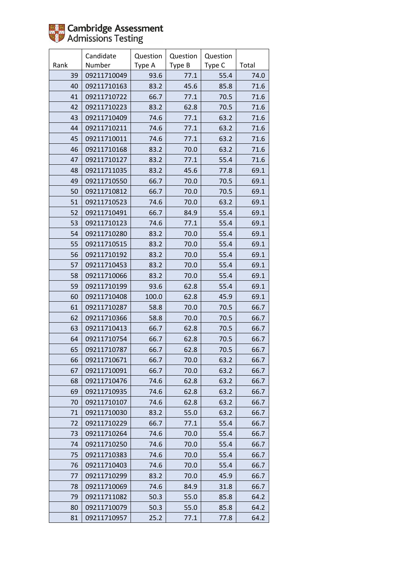

|      | Candidate   | Question | Question | Question |       |
|------|-------------|----------|----------|----------|-------|
| Rank | Number      | Type A   | Type B   | Type C   | Total |
| 39   | 09211710049 | 93.6     | 77.1     | 55.4     | 74.0  |
| 40   | 09211710163 | 83.2     | 45.6     | 85.8     | 71.6  |
| 41   | 09211710722 | 66.7     | 77.1     | 70.5     | 71.6  |
| 42   | 09211710223 | 83.2     | 62.8     | 70.5     | 71.6  |
| 43   | 09211710409 | 74.6     | 77.1     | 63.2     | 71.6  |
| 44   | 09211710211 | 74.6     | 77.1     | 63.2     | 71.6  |
| 45   | 09211710011 | 74.6     | 77.1     | 63.2     | 71.6  |
| 46   | 09211710168 | 83.2     | 70.0     | 63.2     | 71.6  |
| 47   | 09211710127 | 83.2     | 77.1     | 55.4     | 71.6  |
| 48   | 09211711035 | 83.2     | 45.6     | 77.8     | 69.1  |
| 49   | 09211710550 | 66.7     | 70.0     | 70.5     | 69.1  |
| 50   | 09211710812 | 66.7     | 70.0     | 70.5     | 69.1  |
| 51   | 09211710523 | 74.6     | 70.0     | 63.2     | 69.1  |
| 52   | 09211710491 | 66.7     | 84.9     | 55.4     | 69.1  |
| 53   | 09211710123 | 74.6     | 77.1     | 55.4     | 69.1  |
| 54   | 09211710280 | 83.2     | 70.0     | 55.4     | 69.1  |
| 55   | 09211710515 | 83.2     | 70.0     | 55.4     | 69.1  |
| 56   | 09211710192 | 83.2     | 70.0     | 55.4     | 69.1  |
| 57   | 09211710453 | 83.2     | 70.0     | 55.4     | 69.1  |
| 58   | 09211710066 | 83.2     | 70.0     | 55.4     | 69.1  |
| 59   | 09211710199 | 93.6     | 62.8     | 55.4     | 69.1  |
| 60   | 09211710408 | 100.0    | 62.8     | 45.9     | 69.1  |
| 61   | 09211710287 | 58.8     | 70.0     | 70.5     | 66.7  |
| 62   | 09211710366 | 58.8     | 70.0     | 70.5     | 66.7  |
| 63   | 09211710413 | 66.7     | 62.8     | 70.5     | 66.7  |
| 64   | 09211710754 | 66.7     | 62.8     | 70.5     | 66.7  |
| 65   | 09211710787 | 66.7     | 62.8     | 70.5     | 66.7  |
| 66   | 09211710671 | 66.7     | 70.0     | 63.2     | 66.7  |
| 67   | 09211710091 | 66.7     | 70.0     | 63.2     | 66.7  |
| 68   | 09211710476 | 74.6     | 62.8     | 63.2     | 66.7  |
| 69   | 09211710935 | 74.6     | 62.8     | 63.2     | 66.7  |
| 70   | 09211710107 | 74.6     | 62.8     | 63.2     | 66.7  |
| 71   | 09211710030 | 83.2     | 55.0     | 63.2     | 66.7  |
| 72   | 09211710229 | 66.7     | 77.1     | 55.4     | 66.7  |
| 73   | 09211710264 | 74.6     | 70.0     | 55.4     | 66.7  |
| 74   | 09211710250 | 74.6     | 70.0     | 55.4     | 66.7  |
| 75   | 09211710383 | 74.6     | 70.0     | 55.4     | 66.7  |
| 76   | 09211710403 | 74.6     | 70.0     | 55.4     | 66.7  |
| 77   | 09211710299 | 83.2     | 70.0     | 45.9     | 66.7  |
| 78   | 09211710069 | 74.6     | 84.9     | 31.8     | 66.7  |
| 79   | 09211711082 | 50.3     | 55.0     | 85.8     | 64.2  |
| 80   | 09211710079 | 50.3     | 55.0     | 85.8     | 64.2  |
| 81   | 09211710957 | 25.2     | 77.1     | 77.8     | 64.2  |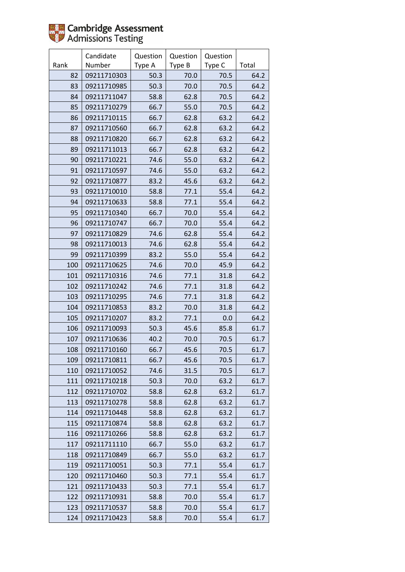

|      | Candidate   | Question | Question | Question |       |
|------|-------------|----------|----------|----------|-------|
| Rank | Number      | Type A   | Type B   | Type C   | Total |
| 82   | 09211710303 | 50.3     | 70.0     | 70.5     | 64.2  |
| 83   | 09211710985 | 50.3     | 70.0     | 70.5     | 64.2  |
| 84   | 09211711047 | 58.8     | 62.8     | 70.5     | 64.2  |
| 85   | 09211710279 | 66.7     | 55.0     | 70.5     | 64.2  |
| 86   | 09211710115 | 66.7     | 62.8     | 63.2     | 64.2  |
| 87   | 09211710560 | 66.7     | 62.8     | 63.2     | 64.2  |
| 88   | 09211710820 | 66.7     | 62.8     | 63.2     | 64.2  |
| 89   | 09211711013 | 66.7     | 62.8     | 63.2     | 64.2  |
| 90   | 09211710221 | 74.6     | 55.0     | 63.2     | 64.2  |
| 91   | 09211710597 | 74.6     | 55.0     | 63.2     | 64.2  |
| 92   | 09211710877 | 83.2     | 45.6     | 63.2     | 64.2  |
| 93   | 09211710010 | 58.8     | 77.1     | 55.4     | 64.2  |
| 94   | 09211710633 | 58.8     | 77.1     | 55.4     | 64.2  |
| 95   | 09211710340 | 66.7     | 70.0     | 55.4     | 64.2  |
| 96   | 09211710747 | 66.7     | 70.0     | 55.4     | 64.2  |
| 97   | 09211710829 | 74.6     | 62.8     | 55.4     | 64.2  |
| 98   | 09211710013 | 74.6     | 62.8     | 55.4     | 64.2  |
| 99   | 09211710399 | 83.2     | 55.0     | 55.4     | 64.2  |
| 100  | 09211710625 | 74.6     | 70.0     | 45.9     | 64.2  |
| 101  | 09211710316 | 74.6     | 77.1     | 31.8     | 64.2  |
| 102  | 09211710242 | 74.6     | 77.1     | 31.8     | 64.2  |
| 103  | 09211710295 | 74.6     | 77.1     | 31.8     | 64.2  |
| 104  | 09211710853 | 83.2     | 70.0     | 31.8     | 64.2  |
| 105  | 09211710207 | 83.2     | 77.1     | 0.0      | 64.2  |
| 106  | 09211710093 | 50.3     | 45.6     | 85.8     | 61.7  |
| 107  | 09211710636 | 40.2     | 70.0     | 70.5     | 61.7  |
| 108  | 09211710160 | 66.7     | 45.6     | 70.5     | 61.7  |
| 109  | 09211710811 | 66.7     | 45.6     | 70.5     | 61.7  |
| 110  | 09211710052 | 74.6     | 31.5     | 70.5     | 61.7  |
| 111  | 09211710218 | 50.3     | 70.0     | 63.2     | 61.7  |
| 112  | 09211710702 | 58.8     | 62.8     | 63.2     | 61.7  |
| 113  | 09211710278 | 58.8     | 62.8     | 63.2     | 61.7  |
| 114  | 09211710448 | 58.8     | 62.8     | 63.2     | 61.7  |
| 115  | 09211710874 | 58.8     | 62.8     | 63.2     | 61.7  |
| 116  | 09211710266 | 58.8     | 62.8     | 63.2     | 61.7  |
| 117  | 09211711110 | 66.7     | 55.0     | 63.2     | 61.7  |
| 118  | 09211710849 | 66.7     | 55.0     | 63.2     | 61.7  |
| 119  | 09211710051 | 50.3     | 77.1     | 55.4     | 61.7  |
| 120  | 09211710460 | 50.3     | 77.1     | 55.4     | 61.7  |
| 121  | 09211710433 | 50.3     | 77.1     | 55.4     | 61.7  |
| 122  | 09211710931 | 58.8     | 70.0     | 55.4     | 61.7  |
| 123  | 09211710537 | 58.8     | 70.0     | 55.4     | 61.7  |
| 124  | 09211710423 | 58.8     | 70.0     | 55.4     | 61.7  |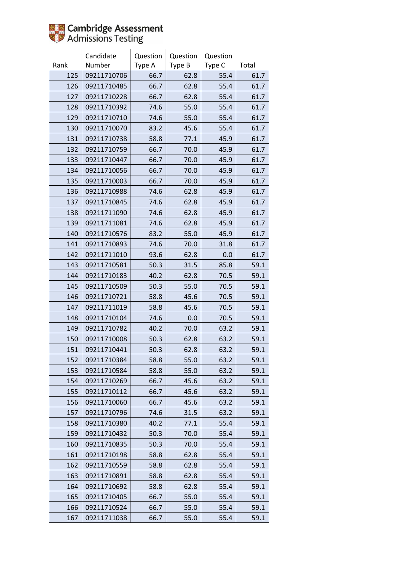|      | Candidate   | Question | Question | Question |       |
|------|-------------|----------|----------|----------|-------|
| Rank | Number      | Type A   | Type B   | Type C   | Total |
| 125  | 09211710706 | 66.7     | 62.8     | 55.4     | 61.7  |
| 126  | 09211710485 | 66.7     | 62.8     | 55.4     | 61.7  |
| 127  | 09211710228 | 66.7     | 62.8     | 55.4     | 61.7  |
| 128  | 09211710392 | 74.6     | 55.0     | 55.4     | 61.7  |
| 129  | 09211710710 | 74.6     | 55.0     | 55.4     | 61.7  |
| 130  | 09211710070 | 83.2     | 45.6     | 55.4     | 61.7  |
| 131  | 09211710738 | 58.8     | 77.1     | 45.9     | 61.7  |
| 132  | 09211710759 | 66.7     | 70.0     | 45.9     | 61.7  |
| 133  | 09211710447 | 66.7     | 70.0     | 45.9     | 61.7  |
| 134  | 09211710056 | 66.7     | 70.0     | 45.9     | 61.7  |
| 135  | 09211710003 | 66.7     | 70.0     | 45.9     | 61.7  |
| 136  | 09211710988 | 74.6     | 62.8     | 45.9     | 61.7  |
| 137  | 09211710845 | 74.6     | 62.8     | 45.9     | 61.7  |
| 138  | 09211711090 | 74.6     | 62.8     | 45.9     | 61.7  |
| 139  | 09211711081 | 74.6     | 62.8     | 45.9     | 61.7  |
| 140  | 09211710576 | 83.2     | 55.0     | 45.9     | 61.7  |
| 141  | 09211710893 | 74.6     | 70.0     | 31.8     | 61.7  |
| 142  | 09211711010 | 93.6     | 62.8     | 0.0      | 61.7  |
| 143  | 09211710581 | 50.3     | 31.5     | 85.8     | 59.1  |
| 144  | 09211710183 | 40.2     | 62.8     | 70.5     | 59.1  |
| 145  | 09211710509 | 50.3     | 55.0     | 70.5     | 59.1  |
| 146  | 09211710721 | 58.8     | 45.6     | 70.5     | 59.1  |
| 147  | 09211711019 | 58.8     | 45.6     | 70.5     | 59.1  |
| 148  | 09211710104 | 74.6     | 0.0      | 70.5     | 59.1  |
| 149  | 09211710782 | 40.2     | 70.0     | 63.2     | 59.1  |
| 150  | 09211710008 | 50.3     | 62.8     | 63.2     | 59.1  |
| 151  | 09211710441 | 50.3     | 62.8     | 63.2     | 59.1  |
| 152  | 09211710384 | 58.8     | 55.0     | 63.2     | 59.1  |
| 153  | 09211710584 | 58.8     | 55.0     | 63.2     | 59.1  |
| 154  | 09211710269 | 66.7     | 45.6     | 63.2     | 59.1  |
| 155  | 09211710112 | 66.7     | 45.6     | 63.2     | 59.1  |
| 156  | 09211710060 | 66.7     | 45.6     | 63.2     | 59.1  |
| 157  | 09211710796 | 74.6     | 31.5     | 63.2     | 59.1  |
| 158  | 09211710380 | 40.2     | 77.1     | 55.4     | 59.1  |
| 159  | 09211710432 | 50.3     | 70.0     | 55.4     | 59.1  |
| 160  | 09211710835 | 50.3     | 70.0     | 55.4     | 59.1  |
| 161  | 09211710198 | 58.8     | 62.8     | 55.4     | 59.1  |
| 162  | 09211710559 | 58.8     | 62.8     | 55.4     | 59.1  |
| 163  | 09211710891 | 58.8     | 62.8     | 55.4     | 59.1  |
| 164  | 09211710692 | 58.8     | 62.8     | 55.4     | 59.1  |
| 165  | 09211710405 | 66.7     | 55.0     | 55.4     | 59.1  |
| 166  | 09211710524 | 66.7     | 55.0     | 55.4     | 59.1  |
| 167  | 09211711038 | 66.7     | 55.0     | 55.4     | 59.1  |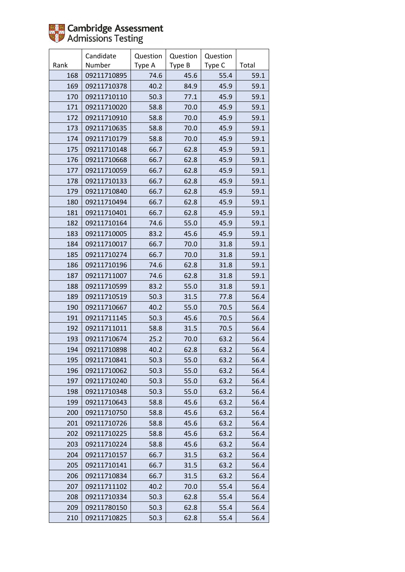|      | Candidate   | Question | Question | Question |       |
|------|-------------|----------|----------|----------|-------|
| Rank | Number      | Type A   | Type B   | Type C   | Total |
| 168  | 09211710895 | 74.6     | 45.6     | 55.4     | 59.1  |
| 169  | 09211710378 | 40.2     | 84.9     | 45.9     | 59.1  |
| 170  | 09211710110 | 50.3     | 77.1     | 45.9     | 59.1  |
| 171  | 09211710020 | 58.8     | 70.0     | 45.9     | 59.1  |
| 172  | 09211710910 | 58.8     | 70.0     | 45.9     | 59.1  |
| 173  | 09211710635 | 58.8     | 70.0     | 45.9     | 59.1  |
| 174  | 09211710179 | 58.8     | 70.0     | 45.9     | 59.1  |
| 175  | 09211710148 | 66.7     | 62.8     | 45.9     | 59.1  |
| 176  | 09211710668 | 66.7     | 62.8     | 45.9     | 59.1  |
| 177  | 09211710059 | 66.7     | 62.8     | 45.9     | 59.1  |
| 178  | 09211710133 | 66.7     | 62.8     | 45.9     | 59.1  |
| 179  | 09211710840 | 66.7     | 62.8     | 45.9     | 59.1  |
| 180  | 09211710494 | 66.7     | 62.8     | 45.9     | 59.1  |
| 181  | 09211710401 | 66.7     | 62.8     | 45.9     | 59.1  |
| 182  | 09211710164 | 74.6     | 55.0     | 45.9     | 59.1  |
| 183  | 09211710005 | 83.2     | 45.6     | 45.9     | 59.1  |
| 184  | 09211710017 | 66.7     | 70.0     | 31.8     | 59.1  |
| 185  | 09211710274 | 66.7     | 70.0     | 31.8     | 59.1  |
| 186  | 09211710196 | 74.6     | 62.8     | 31.8     | 59.1  |
| 187  | 09211711007 | 74.6     | 62.8     | 31.8     | 59.1  |
| 188  | 09211710599 | 83.2     | 55.0     | 31.8     | 59.1  |
| 189  | 09211710519 | 50.3     | 31.5     | 77.8     | 56.4  |
| 190  | 09211710667 | 40.2     | 55.0     | 70.5     | 56.4  |
| 191  | 09211711145 | 50.3     | 45.6     | 70.5     | 56.4  |
| 192  | 09211711011 | 58.8     | 31.5     | 70.5     | 56.4  |
| 193  | 09211710674 | 25.2     | 70.0     | 63.2     | 56.4  |
| 194  | 09211710898 | 40.2     | 62.8     | 63.2     | 56.4  |
| 195  | 09211710841 | 50.3     | 55.0     | 63.2     | 56.4  |
| 196  | 09211710062 | 50.3     | 55.0     | 63.2     | 56.4  |
| 197  | 09211710240 | 50.3     | 55.0     | 63.2     | 56.4  |
| 198  | 09211710348 | 50.3     | 55.0     | 63.2     | 56.4  |
| 199  | 09211710643 | 58.8     | 45.6     | 63.2     | 56.4  |
| 200  | 09211710750 | 58.8     | 45.6     | 63.2     | 56.4  |
| 201  | 09211710726 | 58.8     | 45.6     | 63.2     | 56.4  |
| 202  | 09211710225 | 58.8     | 45.6     | 63.2     | 56.4  |
| 203  | 09211710224 | 58.8     | 45.6     | 63.2     | 56.4  |
| 204  | 09211710157 | 66.7     | 31.5     | 63.2     | 56.4  |
| 205  | 09211710141 | 66.7     | 31.5     | 63.2     | 56.4  |
| 206  | 09211710834 | 66.7     | 31.5     | 63.2     | 56.4  |
| 207  | 09211711102 | 40.2     | 70.0     | 55.4     | 56.4  |
| 208  | 09211710334 | 50.3     | 62.8     | 55.4     | 56.4  |
| 209  | 09211780150 | 50.3     | 62.8     | 55.4     | 56.4  |
| 210  | 09211710825 | 50.3     | 62.8     | 55.4     | 56.4  |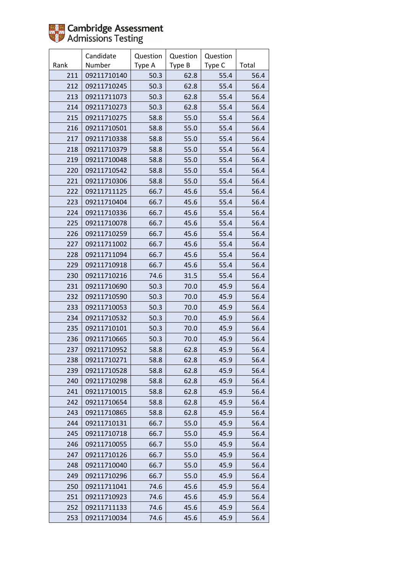|      | Candidate   | Question | Question | Question |       |
|------|-------------|----------|----------|----------|-------|
| Rank | Number      | Type A   | Type B   | Type C   | Total |
| 211  | 09211710140 | 50.3     | 62.8     | 55.4     | 56.4  |
| 212  | 09211710245 | 50.3     | 62.8     | 55.4     | 56.4  |
| 213  | 09211711073 | 50.3     | 62.8     | 55.4     | 56.4  |
| 214  | 09211710273 | 50.3     | 62.8     | 55.4     | 56.4  |
| 215  | 09211710275 | 58.8     | 55.0     | 55.4     | 56.4  |
| 216  | 09211710501 | 58.8     | 55.0     | 55.4     | 56.4  |
| 217  | 09211710338 | 58.8     | 55.0     | 55.4     | 56.4  |
| 218  | 09211710379 | 58.8     | 55.0     | 55.4     | 56.4  |
| 219  | 09211710048 | 58.8     | 55.0     | 55.4     | 56.4  |
| 220  | 09211710542 | 58.8     | 55.0     | 55.4     | 56.4  |
| 221  | 09211710306 | 58.8     | 55.0     | 55.4     | 56.4  |
| 222  | 09211711125 | 66.7     | 45.6     | 55.4     | 56.4  |
| 223  | 09211710404 | 66.7     | 45.6     | 55.4     | 56.4  |
| 224  | 09211710336 | 66.7     | 45.6     | 55.4     | 56.4  |
| 225  | 09211710078 | 66.7     | 45.6     | 55.4     | 56.4  |
| 226  | 09211710259 | 66.7     | 45.6     | 55.4     | 56.4  |
| 227  | 09211711002 | 66.7     | 45.6     | 55.4     | 56.4  |
| 228  | 09211711094 | 66.7     | 45.6     | 55.4     | 56.4  |
| 229  | 09211710918 | 66.7     | 45.6     | 55.4     | 56.4  |
| 230  | 09211710216 | 74.6     | 31.5     | 55.4     | 56.4  |
| 231  | 09211710690 | 50.3     | 70.0     | 45.9     | 56.4  |
| 232  | 09211710590 | 50.3     | 70.0     | 45.9     | 56.4  |
| 233  | 09211710053 | 50.3     | 70.0     | 45.9     | 56.4  |
| 234  | 09211710532 | 50.3     | 70.0     | 45.9     | 56.4  |
| 235  | 09211710101 | 50.3     | 70.0     | 45.9     | 56.4  |
| 236  | 09211710665 | 50.3     | 70.0     | 45.9     | 56.4  |
| 237  | 09211710952 | 58.8     | 62.8     | 45.9     | 56.4  |
| 238  | 09211710271 | 58.8     | 62.8     | 45.9     | 56.4  |
| 239  | 09211710528 | 58.8     | 62.8     | 45.9     | 56.4  |
| 240  | 09211710298 | 58.8     | 62.8     | 45.9     | 56.4  |
| 241  | 09211710015 | 58.8     | 62.8     | 45.9     | 56.4  |
| 242  | 09211710654 | 58.8     | 62.8     | 45.9     | 56.4  |
| 243  | 09211710865 | 58.8     | 62.8     | 45.9     | 56.4  |
| 244  | 09211710131 | 66.7     | 55.0     | 45.9     | 56.4  |
| 245  | 09211710718 | 66.7     | 55.0     | 45.9     | 56.4  |
| 246  | 09211710055 | 66.7     | 55.0     | 45.9     | 56.4  |
| 247  | 09211710126 | 66.7     | 55.0     | 45.9     | 56.4  |
| 248  | 09211710040 | 66.7     | 55.0     | 45.9     | 56.4  |
| 249  | 09211710296 | 66.7     | 55.0     | 45.9     | 56.4  |
| 250  | 09211711041 | 74.6     | 45.6     | 45.9     | 56.4  |
| 251  | 09211710923 | 74.6     | 45.6     | 45.9     | 56.4  |
| 252  | 09211711133 | 74.6     | 45.6     | 45.9     | 56.4  |
| 253  | 09211710034 | 74.6     | 45.6     | 45.9     | 56.4  |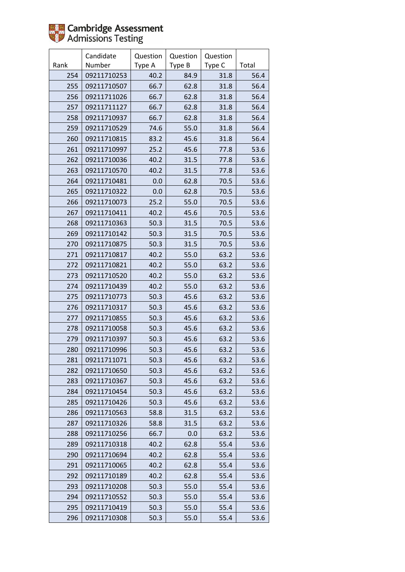

|      | Candidate   | Question | Question | Question |       |
|------|-------------|----------|----------|----------|-------|
| Rank | Number      | Type A   | Type B   | Type C   | Total |
| 254  | 09211710253 | 40.2     | 84.9     | 31.8     | 56.4  |
| 255  | 09211710507 | 66.7     | 62.8     | 31.8     | 56.4  |
| 256  | 09211711026 | 66.7     | 62.8     | 31.8     | 56.4  |
| 257  | 09211711127 | 66.7     | 62.8     | 31.8     | 56.4  |
| 258  | 09211710937 | 66.7     | 62.8     | 31.8     | 56.4  |
| 259  | 09211710529 | 74.6     | 55.0     | 31.8     | 56.4  |
| 260  | 09211710815 | 83.2     | 45.6     | 31.8     | 56.4  |
| 261  | 09211710997 | 25.2     | 45.6     | 77.8     | 53.6  |
| 262  | 09211710036 | 40.2     | 31.5     | 77.8     | 53.6  |
| 263  | 09211710570 | 40.2     | 31.5     | 77.8     | 53.6  |
| 264  | 09211710481 | 0.0      | 62.8     | 70.5     | 53.6  |
| 265  | 09211710322 | 0.0      | 62.8     | 70.5     | 53.6  |
| 266  | 09211710073 | 25.2     | 55.0     | 70.5     | 53.6  |
| 267  | 09211710411 | 40.2     | 45.6     | 70.5     | 53.6  |
| 268  | 09211710363 | 50.3     | 31.5     | 70.5     | 53.6  |
| 269  | 09211710142 | 50.3     | 31.5     | 70.5     | 53.6  |
| 270  | 09211710875 | 50.3     | 31.5     | 70.5     | 53.6  |
| 271  | 09211710817 | 40.2     | 55.0     | 63.2     | 53.6  |
| 272  | 09211710821 | 40.2     | 55.0     | 63.2     | 53.6  |
| 273  | 09211710520 | 40.2     | 55.0     | 63.2     | 53.6  |
| 274  | 09211710439 | 40.2     | 55.0     | 63.2     | 53.6  |
| 275  | 09211710773 | 50.3     | 45.6     | 63.2     | 53.6  |
| 276  | 09211710317 | 50.3     | 45.6     | 63.2     | 53.6  |
| 277  | 09211710855 | 50.3     | 45.6     | 63.2     | 53.6  |
| 278  | 09211710058 | 50.3     | 45.6     | 63.2     | 53.6  |
| 279  | 09211710397 | 50.3     | 45.6     | 63.2     | 53.6  |
| 280  | 09211710996 | 50.3     | 45.6     | 63.2     | 53.6  |
| 281  | 09211711071 | 50.3     | 45.6     | 63.2     | 53.6  |
| 282  | 09211710650 | 50.3     | 45.6     | 63.2     | 53.6  |
| 283  | 09211710367 | 50.3     | 45.6     | 63.2     | 53.6  |
| 284  | 09211710454 | 50.3     | 45.6     | 63.2     | 53.6  |
| 285  | 09211710426 | 50.3     | 45.6     | 63.2     | 53.6  |
| 286  | 09211710563 | 58.8     | 31.5     | 63.2     | 53.6  |
| 287  | 09211710326 | 58.8     | 31.5     | 63.2     | 53.6  |
| 288  | 09211710256 | 66.7     | 0.0      | 63.2     | 53.6  |
| 289  | 09211710318 | 40.2     | 62.8     | 55.4     | 53.6  |
| 290  | 09211710694 | 40.2     | 62.8     | 55.4     | 53.6  |
| 291  | 09211710065 | 40.2     | 62.8     | 55.4     | 53.6  |
| 292  | 09211710189 | 40.2     | 62.8     | 55.4     | 53.6  |
| 293  | 09211710208 | 50.3     | 55.0     | 55.4     | 53.6  |
| 294  | 09211710552 | 50.3     | 55.0     | 55.4     | 53.6  |
| 295  | 09211710419 | 50.3     | 55.0     | 55.4     | 53.6  |
| 296  | 09211710308 | 50.3     | 55.0     | 55.4     | 53.6  |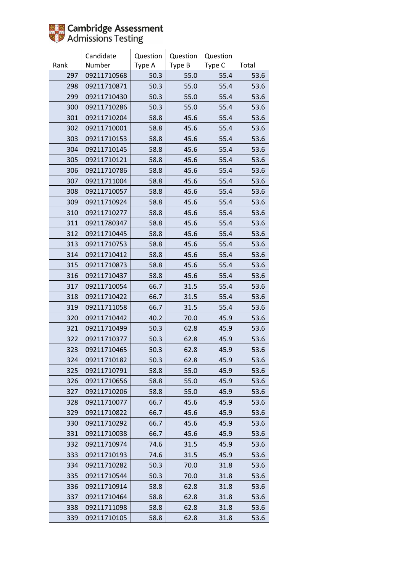|      | Candidate   | Question | Question | Question |       |
|------|-------------|----------|----------|----------|-------|
| Rank | Number      | Type A   | Type B   | Type C   | Total |
| 297  | 09211710568 | 50.3     | 55.0     | 55.4     | 53.6  |
| 298  | 09211710871 | 50.3     | 55.0     | 55.4     | 53.6  |
| 299  | 09211710430 | 50.3     | 55.0     | 55.4     | 53.6  |
| 300  | 09211710286 | 50.3     | 55.0     | 55.4     | 53.6  |
| 301  | 09211710204 | 58.8     | 45.6     | 55.4     | 53.6  |
| 302  | 09211710001 | 58.8     | 45.6     | 55.4     | 53.6  |
| 303  | 09211710153 | 58.8     | 45.6     | 55.4     | 53.6  |
| 304  | 09211710145 | 58.8     | 45.6     | 55.4     | 53.6  |
| 305  | 09211710121 | 58.8     | 45.6     | 55.4     | 53.6  |
| 306  | 09211710786 | 58.8     | 45.6     | 55.4     | 53.6  |
| 307  | 09211711004 | 58.8     | 45.6     | 55.4     | 53.6  |
| 308  | 09211710057 | 58.8     | 45.6     | 55.4     | 53.6  |
| 309  | 09211710924 | 58.8     | 45.6     | 55.4     | 53.6  |
| 310  | 09211710277 | 58.8     | 45.6     | 55.4     | 53.6  |
| 311  | 09211780347 | 58.8     | 45.6     | 55.4     | 53.6  |
| 312  | 09211710445 | 58.8     | 45.6     | 55.4     | 53.6  |
| 313  | 09211710753 | 58.8     | 45.6     | 55.4     | 53.6  |
| 314  | 09211710412 | 58.8     | 45.6     | 55.4     | 53.6  |
| 315  | 09211710873 | 58.8     | 45.6     | 55.4     | 53.6  |
| 316  | 09211710437 | 58.8     | 45.6     | 55.4     | 53.6  |
| 317  | 09211710054 | 66.7     | 31.5     | 55.4     | 53.6  |
| 318  | 09211710422 | 66.7     | 31.5     | 55.4     | 53.6  |
| 319  | 09211711058 | 66.7     | 31.5     | 55.4     | 53.6  |
| 320  | 09211710442 | 40.2     | 70.0     | 45.9     | 53.6  |
| 321  | 09211710499 | 50.3     | 62.8     | 45.9     | 53.6  |
| 322  | 09211710377 | 50.3     | 62.8     | 45.9     | 53.6  |
| 323  | 09211710465 | 50.3     | 62.8     | 45.9     | 53.6  |
| 324  | 09211710182 | 50.3     | 62.8     | 45.9     | 53.6  |
| 325  | 09211710791 | 58.8     | 55.0     | 45.9     | 53.6  |
| 326  | 09211710656 | 58.8     | 55.0     | 45.9     | 53.6  |
| 327  | 09211710206 | 58.8     | 55.0     | 45.9     | 53.6  |
| 328  | 09211710077 | 66.7     | 45.6     | 45.9     | 53.6  |
| 329  | 09211710822 | 66.7     | 45.6     | 45.9     | 53.6  |
| 330  | 09211710292 | 66.7     | 45.6     | 45.9     | 53.6  |
| 331  | 09211710038 | 66.7     | 45.6     | 45.9     | 53.6  |
| 332  | 09211710974 | 74.6     | 31.5     | 45.9     | 53.6  |
| 333  | 09211710193 | 74.6     | 31.5     | 45.9     | 53.6  |
| 334  | 09211710282 | 50.3     | 70.0     | 31.8     | 53.6  |
| 335  | 09211710544 | 50.3     | 70.0     | 31.8     | 53.6  |
| 336  | 09211710914 | 58.8     | 62.8     | 31.8     | 53.6  |
| 337  | 09211710464 | 58.8     | 62.8     | 31.8     | 53.6  |
| 338  | 09211711098 | 58.8     | 62.8     | 31.8     | 53.6  |
| 339  | 09211710105 | 58.8     | 62.8     | 31.8     | 53.6  |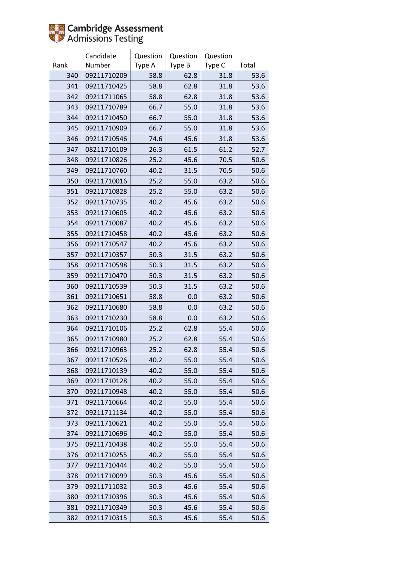|      | Candidate   | Question | Question | Question |       |
|------|-------------|----------|----------|----------|-------|
| Rank | Number      | Type A   | Type B   | Type C   | Total |
| 340  | 09211710209 | 58.8     | 62.8     | 31.8     | 53.6  |
| 341  | 09211710425 | 58.8     | 62.8     | 31.8     | 53.6  |
| 342  | 09211711065 | 58.8     | 62.8     | 31.8     | 53.6  |
| 343  | 09211710789 | 66.7     | 55.0     | 31.8     | 53.6  |
| 344  | 09211710450 | 66.7     | 55.0     | 31.8     | 53.6  |
| 345  | 09211710909 | 66.7     | 55.0     | 31.8     | 53.6  |
| 346  | 09211710546 | 74.6     | 45.6     | 31.8     | 53.6  |
| 347  | 08211710109 | 26.3     | 61.5     | 61.2     | 52.7  |
| 348  | 09211710826 | 25.2     | 45.6     | 70.5     | 50.6  |
| 349  | 09211710760 | 40.2     | 31.5     | 70.5     | 50.6  |
| 350  | 09211710016 | 25.2     | 55.0     | 63.2     | 50.6  |
| 351  | 09211710828 | 25.2     | 55.0     | 63.2     | 50.6  |
| 352  | 09211710735 | 40.2     | 45.6     | 63.2     | 50.6  |
| 353  | 09211710605 | 40.2     | 45.6     | 63.2     | 50.6  |
| 354  | 09211710087 | 40.2     | 45.6     | 63.2     | 50.6  |
| 355  | 09211710458 | 40.2     | 45.6     | 63.2     | 50.6  |
| 356  | 09211710547 | 40.2     | 45.6     | 63.2     | 50.6  |
| 357  | 09211710357 | 50.3     | 31.5     | 63.2     | 50.6  |
| 358  | 09211710598 | 50.3     | 31.5     | 63.2     | 50.6  |
| 359  | 09211710470 | 50.3     | 31.5     | 63.2     | 50.6  |
| 360  | 09211710539 | 50.3     | 31.5     | 63.2     | 50.6  |
| 361  | 09211710651 | 58.8     | 0.0      | 63.2     | 50.6  |
| 362  | 09211710680 | 58.8     | 0.0      | 63.2     | 50.6  |
| 363  | 09211710230 | 58.8     | 0.0      | 63.2     | 50.6  |
| 364  | 09211710106 | 25.2     | 62.8     | 55.4     | 50.6  |
| 365  | 09211710980 | 25.2     | 62.8     | 55.4     | 50.6  |
| 366  | 09211710963 | 25.2     | 62.8     | 55.4     | 50.6  |
| 367  | 09211710526 | 40.2     | 55.0     | 55.4     | 50.6  |
| 368  | 09211710139 | 40.2     | 55.0     | 55.4     | 50.6  |
| 369  | 09211710128 | 40.2     | 55.0     | 55.4     | 50.6  |
| 370  | 09211710948 | 40.2     | 55.0     | 55.4     | 50.6  |
| 371  | 09211710664 | 40.2     | 55.0     | 55.4     | 50.6  |
| 372  | 09211711134 | 40.2     | 55.0     | 55.4     | 50.6  |
| 373  | 09211710621 | 40.2     | 55.0     | 55.4     | 50.6  |
| 374  | 09211710696 | 40.2     | 55.0     | 55.4     | 50.6  |
| 375  | 09211710438 | 40.2     | 55.0     | 55.4     | 50.6  |
| 376  | 09211710255 | 40.2     | 55.0     | 55.4     | 50.6  |
| 377  | 09211710444 | 40.2     | 55.0     | 55.4     | 50.6  |
| 378  | 09211710099 | 50.3     | 45.6     | 55.4     | 50.6  |
| 379  | 09211711032 | 50.3     | 45.6     | 55.4     | 50.6  |
| 380  | 09211710396 | 50.3     | 45.6     | 55.4     | 50.6  |
| 381  | 09211710349 | 50.3     | 45.6     | 55.4     | 50.6  |
| 382  | 09211710315 | 50.3     | 45.6     | 55.4     | 50.6  |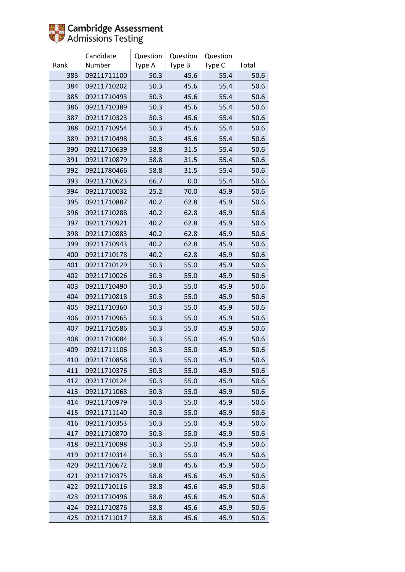|      | Candidate   | Question | Question | Question |       |
|------|-------------|----------|----------|----------|-------|
| Rank | Number      | Type A   | Type B   | Type C   | Total |
| 383  | 09211711100 | 50.3     | 45.6     | 55.4     | 50.6  |
| 384  | 09211710202 | 50.3     | 45.6     | 55.4     | 50.6  |
| 385  | 09211710493 | 50.3     | 45.6     | 55.4     | 50.6  |
| 386  | 09211710389 | 50.3     | 45.6     | 55.4     | 50.6  |
| 387  | 09211710323 | 50.3     | 45.6     | 55.4     | 50.6  |
| 388  | 09211710954 | 50.3     | 45.6     | 55.4     | 50.6  |
| 389  | 09211710498 | 50.3     | 45.6     | 55.4     | 50.6  |
| 390  | 09211710639 | 58.8     | 31.5     | 55.4     | 50.6  |
| 391  | 09211710879 | 58.8     | 31.5     | 55.4     | 50.6  |
| 392  | 09211780466 | 58.8     | 31.5     | 55.4     | 50.6  |
| 393  | 09211710623 | 66.7     | 0.0      | 55.4     | 50.6  |
| 394  | 09211710032 | 25.2     | 70.0     | 45.9     | 50.6  |
| 395  | 09211710887 | 40.2     | 62.8     | 45.9     | 50.6  |
| 396  | 09211710288 | 40.2     | 62.8     | 45.9     | 50.6  |
| 397  | 09211710921 | 40.2     | 62.8     | 45.9     | 50.6  |
| 398  | 09211710883 | 40.2     | 62.8     | 45.9     | 50.6  |
| 399  | 09211710943 | 40.2     | 62.8     | 45.9     | 50.6  |
| 400  | 09211710178 | 40.2     | 62.8     | 45.9     | 50.6  |
| 401  | 09211710129 | 50.3     | 55.0     | 45.9     | 50.6  |
| 402  | 09211710026 | 50.3     | 55.0     | 45.9     | 50.6  |
| 403  | 09211710490 | 50.3     | 55.0     | 45.9     | 50.6  |
| 404  | 09211710818 | 50.3     | 55.0     | 45.9     | 50.6  |
| 405  | 09211710360 | 50.3     | 55.0     | 45.9     | 50.6  |
| 406  | 09211710965 | 50.3     | 55.0     | 45.9     | 50.6  |
| 407  | 09211710586 | 50.3     | 55.0     | 45.9     | 50.6  |
| 408  | 09211710084 | 50.3     | 55.0     | 45.9     | 50.6  |
| 409  | 09211711106 | 50.3     | 55.0     | 45.9     | 50.6  |
| 410  | 09211710858 | 50.3     | 55.0     | 45.9     | 50.6  |
| 411  | 09211710376 | 50.3     | 55.0     | 45.9     | 50.6  |
| 412  | 09211710124 | 50.3     | 55.0     | 45.9     | 50.6  |
| 413  | 09211711068 | 50.3     | 55.0     | 45.9     | 50.6  |
| 414  | 09211710979 | 50.3     | 55.0     | 45.9     | 50.6  |
| 415  | 09211711140 | 50.3     | 55.0     | 45.9     | 50.6  |
| 416  | 09211710353 | 50.3     | 55.0     | 45.9     | 50.6  |
| 417  | 09211710870 | 50.3     | 55.0     | 45.9     | 50.6  |
| 418  | 09211710098 | 50.3     | 55.0     | 45.9     | 50.6  |
| 419  | 09211710314 | 50.3     | 55.0     | 45.9     | 50.6  |
| 420  | 09211710672 | 58.8     | 45.6     | 45.9     | 50.6  |
| 421  | 09211710375 | 58.8     | 45.6     | 45.9     | 50.6  |
| 422  | 09211710116 | 58.8     | 45.6     | 45.9     | 50.6  |
| 423  | 09211710496 | 58.8     | 45.6     | 45.9     | 50.6  |
| 424  | 09211710876 | 58.8     | 45.6     | 45.9     | 50.6  |
| 425  | 09211711017 | 58.8     | 45.6     | 45.9     | 50.6  |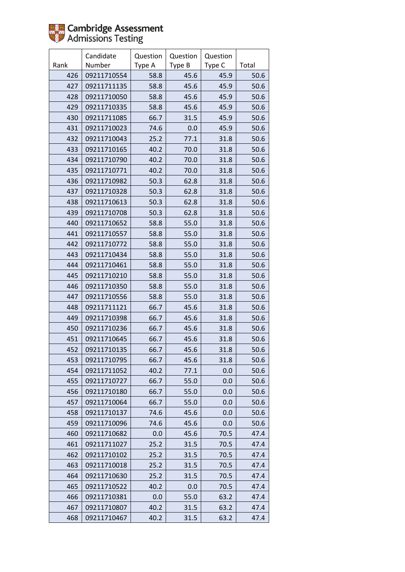|      | Candidate   | Question | Question | Question |       |
|------|-------------|----------|----------|----------|-------|
| Rank | Number      | Type A   | Type B   | Type C   | Total |
| 426  | 09211710554 | 58.8     | 45.6     | 45.9     | 50.6  |
| 427  | 09211711135 | 58.8     | 45.6     | 45.9     | 50.6  |
| 428  | 09211710050 | 58.8     | 45.6     | 45.9     | 50.6  |
| 429  | 09211710335 | 58.8     | 45.6     | 45.9     | 50.6  |
| 430  | 09211711085 | 66.7     | 31.5     | 45.9     | 50.6  |
| 431  | 09211710023 | 74.6     | 0.0      | 45.9     | 50.6  |
| 432  | 09211710043 | 25.2     | 77.1     | 31.8     | 50.6  |
| 433  | 09211710165 | 40.2     | 70.0     | 31.8     | 50.6  |
| 434  | 09211710790 | 40.2     | 70.0     | 31.8     | 50.6  |
| 435  | 09211710771 | 40.2     | 70.0     | 31.8     | 50.6  |
| 436  | 09211710982 | 50.3     | 62.8     | 31.8     | 50.6  |
| 437  | 09211710328 | 50.3     | 62.8     | 31.8     | 50.6  |
| 438  | 09211710613 | 50.3     | 62.8     | 31.8     | 50.6  |
| 439  | 09211710708 | 50.3     | 62.8     | 31.8     | 50.6  |
| 440  | 09211710652 | 58.8     | 55.0     | 31.8     | 50.6  |
| 441  | 09211710557 | 58.8     | 55.0     | 31.8     | 50.6  |
| 442  | 09211710772 | 58.8     | 55.0     | 31.8     | 50.6  |
| 443  | 09211710434 | 58.8     | 55.0     | 31.8     | 50.6  |
| 444  | 09211710461 | 58.8     | 55.0     | 31.8     | 50.6  |
| 445  | 09211710210 | 58.8     | 55.0     | 31.8     | 50.6  |
| 446  | 09211710350 | 58.8     | 55.0     | 31.8     | 50.6  |
| 447  | 09211710556 | 58.8     | 55.0     | 31.8     | 50.6  |
| 448  | 09211711121 | 66.7     | 45.6     | 31.8     | 50.6  |
| 449  | 09211710398 | 66.7     | 45.6     | 31.8     | 50.6  |
| 450  | 09211710236 | 66.7     | 45.6     | 31.8     | 50.6  |
| 451  | 09211710645 | 66.7     | 45.6     | 31.8     | 50.6  |
| 452  | 09211710135 | 66.7     | 45.6     | 31.8     | 50.6  |
| 453  | 09211710795 | 66.7     | 45.6     | 31.8     | 50.6  |
| 454  | 09211711052 | 40.2     | 77.1     | 0.0      | 50.6  |
| 455  | 09211710727 | 66.7     | 55.0     | 0.0      | 50.6  |
| 456  | 09211710180 | 66.7     | 55.0     | 0.0      | 50.6  |
| 457  | 09211710064 | 66.7     | 55.0     | 0.0      | 50.6  |
| 458  | 09211710137 | 74.6     | 45.6     | 0.0      | 50.6  |
| 459  | 09211710096 | 74.6     | 45.6     | 0.0      | 50.6  |
| 460  | 09211710682 | 0.0      | 45.6     | 70.5     | 47.4  |
| 461  | 09211711027 | 25.2     | 31.5     | 70.5     | 47.4  |
| 462  | 09211710102 | 25.2     | 31.5     | 70.5     | 47.4  |
| 463  | 09211710018 | 25.2     | 31.5     | 70.5     | 47.4  |
| 464  | 09211710630 | 25.2     | 31.5     | 70.5     | 47.4  |
| 465  | 09211710522 | 40.2     | 0.0      | 70.5     | 47.4  |
| 466  | 09211710381 | 0.0      | 55.0     | 63.2     | 47.4  |
| 467  | 09211710807 | 40.2     | 31.5     | 63.2     | 47.4  |
| 468  | 09211710467 | 40.2     | 31.5     | 63.2     | 47.4  |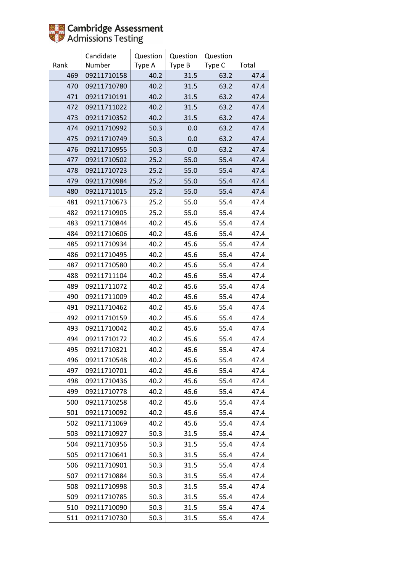|      | Candidate   | Question | Question | Question |       |
|------|-------------|----------|----------|----------|-------|
| Rank | Number      | Type A   | Type B   | Type C   | Total |
| 469  | 09211710158 | 40.2     | 31.5     | 63.2     | 47.4  |
| 470  | 09211710780 | 40.2     | 31.5     | 63.2     | 47.4  |
| 471  | 09211710191 | 40.2     | 31.5     | 63.2     | 47.4  |
| 472  | 09211711022 | 40.2     | 31.5     | 63.2     | 47.4  |
| 473  | 09211710352 | 40.2     | 31.5     | 63.2     | 47.4  |
| 474  | 09211710992 | 50.3     | 0.0      | 63.2     | 47.4  |
| 475  | 09211710749 | 50.3     | 0.0      | 63.2     | 47.4  |
| 476  | 09211710955 | 50.3     | 0.0      | 63.2     | 47.4  |
| 477  | 09211710502 | 25.2     | 55.0     | 55.4     | 47.4  |
| 478  | 09211710723 | 25.2     | 55.0     | 55.4     | 47.4  |
| 479  | 09211710984 | 25.2     | 55.0     | 55.4     | 47.4  |
| 480  | 09211711015 | 25.2     | 55.0     | 55.4     | 47.4  |
| 481  | 09211710673 | 25.2     | 55.0     | 55.4     | 47.4  |
| 482  | 09211710905 | 25.2     | 55.0     | 55.4     | 47.4  |
| 483  | 09211710844 | 40.2     | 45.6     | 55.4     | 47.4  |
| 484  | 09211710606 | 40.2     | 45.6     | 55.4     | 47.4  |
| 485  | 09211710934 | 40.2     | 45.6     | 55.4     | 47.4  |
| 486  | 09211710495 | 40.2     | 45.6     | 55.4     | 47.4  |
| 487  | 09211710580 | 40.2     | 45.6     | 55.4     | 47.4  |
| 488  | 09211711104 | 40.2     | 45.6     | 55.4     | 47.4  |
| 489  | 09211711072 | 40.2     | 45.6     | 55.4     | 47.4  |
| 490  | 09211711009 | 40.2     | 45.6     | 55.4     | 47.4  |
| 491  | 09211710462 | 40.2     | 45.6     | 55.4     | 47.4  |
| 492  | 09211710159 | 40.2     | 45.6     | 55.4     | 47.4  |
| 493  | 09211710042 | 40.2     | 45.6     | 55.4     | 47.4  |
| 494  | 09211710172 | 40.2     | 45.6     | 55.4     | 47.4  |
| 495  | 09211710321 | 40.2     | 45.6     | 55.4     | 47.4  |
| 496  | 09211710548 | 40.2     | 45.6     | 55.4     | 47.4  |
| 497  | 09211710701 | 40.2     | 45.6     | 55.4     | 47.4  |
| 498  | 09211710436 | 40.2     | 45.6     | 55.4     | 47.4  |
| 499  | 09211710778 | 40.2     | 45.6     | 55.4     | 47.4  |
| 500  | 09211710258 | 40.2     | 45.6     | 55.4     | 47.4  |
| 501  | 09211710092 | 40.2     | 45.6     | 55.4     | 47.4  |
| 502  | 09211711069 | 40.2     | 45.6     | 55.4     | 47.4  |
| 503  | 09211710927 | 50.3     | 31.5     | 55.4     | 47.4  |
| 504  | 09211710356 | 50.3     | 31.5     | 55.4     | 47.4  |
| 505  | 09211710641 | 50.3     | 31.5     | 55.4     | 47.4  |
| 506  | 09211710901 | 50.3     | 31.5     | 55.4     | 47.4  |
| 507  | 09211710884 | 50.3     | 31.5     | 55.4     | 47.4  |
| 508  | 09211710998 | 50.3     | 31.5     | 55.4     | 47.4  |
| 509  | 09211710785 | 50.3     | 31.5     | 55.4     | 47.4  |
| 510  | 09211710090 | 50.3     | 31.5     | 55.4     | 47.4  |
| 511  | 09211710730 | 50.3     | 31.5     | 55.4     | 47.4  |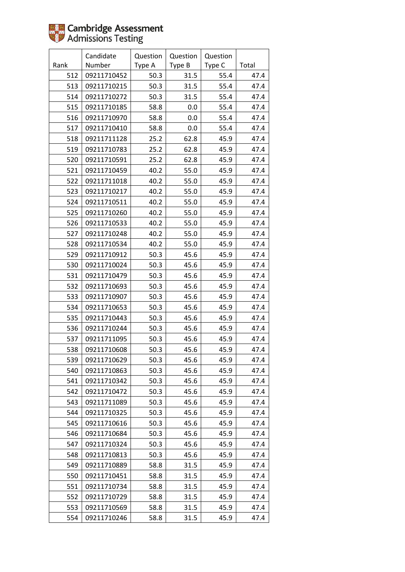|      | Candidate   | Question | Question | Question |       |
|------|-------------|----------|----------|----------|-------|
| Rank | Number      | Type A   | Type B   | Type C   | Total |
| 512  | 09211710452 | 50.3     | 31.5     | 55.4     | 47.4  |
| 513  | 09211710215 | 50.3     | 31.5     | 55.4     | 47.4  |
| 514  | 09211710272 | 50.3     | 31.5     | 55.4     | 47.4  |
| 515  | 09211710185 | 58.8     | 0.0      | 55.4     | 47.4  |
| 516  | 09211710970 | 58.8     | 0.0      | 55.4     | 47.4  |
| 517  | 09211710410 | 58.8     | 0.0      | 55.4     | 47.4  |
| 518  | 09211711128 | 25.2     | 62.8     | 45.9     | 47.4  |
| 519  | 09211710783 | 25.2     | 62.8     | 45.9     | 47.4  |
| 520  | 09211710591 | 25.2     | 62.8     | 45.9     | 47.4  |
| 521  | 09211710459 | 40.2     | 55.0     | 45.9     | 47.4  |
| 522  | 09211711018 | 40.2     | 55.0     | 45.9     | 47.4  |
| 523  | 09211710217 | 40.2     | 55.0     | 45.9     | 47.4  |
| 524  | 09211710511 | 40.2     | 55.0     | 45.9     | 47.4  |
| 525  | 09211710260 | 40.2     | 55.0     | 45.9     | 47.4  |
| 526  | 09211710533 | 40.2     | 55.0     | 45.9     | 47.4  |
| 527  | 09211710248 | 40.2     | 55.0     | 45.9     | 47.4  |
| 528  | 09211710534 | 40.2     | 55.0     | 45.9     | 47.4  |
| 529  | 09211710912 | 50.3     | 45.6     | 45.9     | 47.4  |
| 530  | 09211710024 | 50.3     | 45.6     | 45.9     | 47.4  |
| 531  | 09211710479 | 50.3     | 45.6     | 45.9     | 47.4  |
| 532  | 09211710693 | 50.3     | 45.6     | 45.9     | 47.4  |
| 533  | 09211710907 | 50.3     | 45.6     | 45.9     | 47.4  |
| 534  | 09211710653 | 50.3     | 45.6     | 45.9     | 47.4  |
| 535  | 09211710443 | 50.3     | 45.6     | 45.9     | 47.4  |
| 536  | 09211710244 | 50.3     | 45.6     | 45.9     | 47.4  |
| 537  | 09211711095 | 50.3     | 45.6     | 45.9     | 47.4  |
| 538  | 09211710608 | 50.3     | 45.6     | 45.9     | 47.4  |
| 539  | 09211710629 | 50.3     | 45.6     | 45.9     | 47.4  |
| 540  | 09211710863 | 50.3     | 45.6     | 45.9     | 47.4  |
| 541  | 09211710342 | 50.3     | 45.6     | 45.9     | 47.4  |
| 542  | 09211710472 | 50.3     | 45.6     | 45.9     | 47.4  |
| 543  | 09211711089 | 50.3     | 45.6     | 45.9     | 47.4  |
| 544  | 09211710325 | 50.3     | 45.6     | 45.9     | 47.4  |
| 545  | 09211710616 | 50.3     | 45.6     | 45.9     | 47.4  |
| 546  | 09211710684 | 50.3     | 45.6     | 45.9     | 47.4  |
| 547  | 09211710324 | 50.3     | 45.6     | 45.9     | 47.4  |
| 548  | 09211710813 | 50.3     | 45.6     | 45.9     | 47.4  |
| 549  | 09211710889 | 58.8     | 31.5     | 45.9     | 47.4  |
| 550  | 09211710451 | 58.8     | 31.5     | 45.9     | 47.4  |
| 551  | 09211710734 | 58.8     | 31.5     | 45.9     | 47.4  |
| 552  | 09211710729 | 58.8     | 31.5     | 45.9     | 47.4  |
| 553  | 09211710569 | 58.8     | 31.5     | 45.9     | 47.4  |
| 554  | 09211710246 | 58.8     | 31.5     | 45.9     | 47.4  |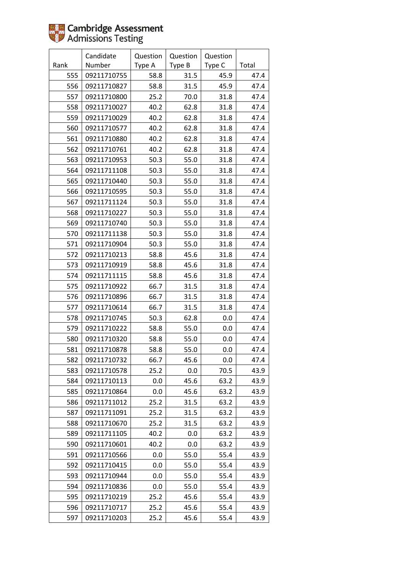|      | Candidate   | Question | Question | Question |       |
|------|-------------|----------|----------|----------|-------|
| Rank | Number      | Type A   | Type B   | Type C   | Total |
| 555  | 09211710755 | 58.8     | 31.5     | 45.9     | 47.4  |
| 556  | 09211710827 | 58.8     | 31.5     | 45.9     | 47.4  |
| 557  | 09211710800 | 25.2     | 70.0     | 31.8     | 47.4  |
| 558  | 09211710027 | 40.2     | 62.8     | 31.8     | 47.4  |
| 559  | 09211710029 | 40.2     | 62.8     | 31.8     | 47.4  |
| 560  | 09211710577 | 40.2     | 62.8     | 31.8     | 47.4  |
| 561  | 09211710880 | 40.2     | 62.8     | 31.8     | 47.4  |
| 562  | 09211710761 | 40.2     | 62.8     | 31.8     | 47.4  |
| 563  | 09211710953 | 50.3     | 55.0     | 31.8     | 47.4  |
| 564  | 09211711108 | 50.3     | 55.0     | 31.8     | 47.4  |
| 565  | 09211710440 | 50.3     | 55.0     | 31.8     | 47.4  |
| 566  | 09211710595 | 50.3     | 55.0     | 31.8     | 47.4  |
| 567  | 09211711124 | 50.3     | 55.0     | 31.8     | 47.4  |
| 568  | 09211710227 | 50.3     | 55.0     | 31.8     | 47.4  |
| 569  | 09211710740 | 50.3     | 55.0     | 31.8     | 47.4  |
| 570  | 09211711138 | 50.3     | 55.0     | 31.8     | 47.4  |
| 571  | 09211710904 | 50.3     | 55.0     | 31.8     | 47.4  |
| 572  | 09211710213 | 58.8     | 45.6     | 31.8     | 47.4  |
| 573  | 09211710919 | 58.8     | 45.6     | 31.8     | 47.4  |
| 574  | 09211711115 | 58.8     | 45.6     | 31.8     | 47.4  |
| 575  | 09211710922 | 66.7     | 31.5     | 31.8     | 47.4  |
| 576  | 09211710896 | 66.7     | 31.5     | 31.8     | 47.4  |
| 577  | 09211710614 | 66.7     | 31.5     | 31.8     | 47.4  |
| 578  | 09211710745 | 50.3     | 62.8     | 0.0      | 47.4  |
| 579  | 09211710222 | 58.8     | 55.0     | 0.0      | 47.4  |
| 580  | 09211710320 | 58.8     | 55.0     | 0.0      | 47.4  |
| 581  | 09211710878 | 58.8     | 55.0     | 0.0      | 47.4  |
| 582  | 09211710732 | 66.7     | 45.6     | 0.0      | 47.4  |
| 583  | 09211710578 | 25.2     | 0.0      | 70.5     | 43.9  |
| 584  | 09211710113 | $0.0\,$  | 45.6     | 63.2     | 43.9  |
| 585  | 09211710864 | 0.0      | 45.6     | 63.2     | 43.9  |
| 586  | 09211711012 | 25.2     | 31.5     | 63.2     | 43.9  |
| 587  | 09211711091 | 25.2     | 31.5     | 63.2     | 43.9  |
| 588  | 09211710670 | 25.2     | 31.5     | 63.2     | 43.9  |
| 589  | 09211711105 | 40.2     | 0.0      | 63.2     | 43.9  |
| 590  | 09211710601 | 40.2     | 0.0      | 63.2     | 43.9  |
| 591  | 09211710566 | $0.0\,$  | 55.0     | 55.4     | 43.9  |
| 592  | 09211710415 | 0.0      | 55.0     | 55.4     | 43.9  |
| 593  | 09211710944 | 0.0      | 55.0     | 55.4     | 43.9  |
| 594  | 09211710836 | 0.0      | 55.0     | 55.4     | 43.9  |
| 595  | 09211710219 | 25.2     | 45.6     | 55.4     | 43.9  |
| 596  | 09211710717 | 25.2     | 45.6     | 55.4     | 43.9  |
| 597  | 09211710203 | 25.2     | 45.6     | 55.4     | 43.9  |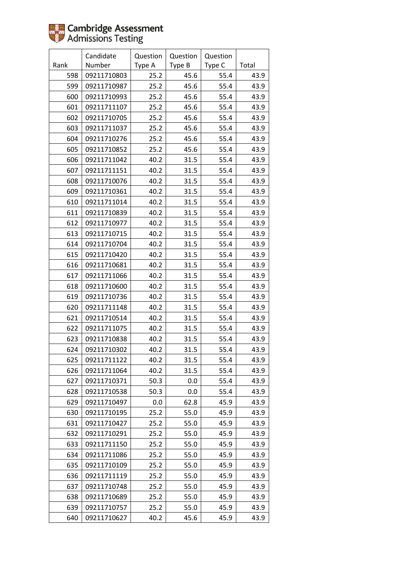|      | Candidate   | Question | Question | Question |       |
|------|-------------|----------|----------|----------|-------|
| Rank | Number      | Type A   | Type B   | Type C   | Total |
| 598  | 09211710803 | 25.2     | 45.6     | 55.4     | 43.9  |
| 599  | 09211710987 | 25.2     | 45.6     | 55.4     | 43.9  |
| 600  | 09211710993 | 25.2     | 45.6     | 55.4     | 43.9  |
| 601  | 09211711107 | 25.2     | 45.6     | 55.4     | 43.9  |
| 602  | 09211710705 | 25.2     | 45.6     | 55.4     | 43.9  |
| 603  | 09211711037 | 25.2     | 45.6     | 55.4     | 43.9  |
| 604  | 09211710276 | 25.2     | 45.6     | 55.4     | 43.9  |
| 605  | 09211710852 | 25.2     | 45.6     | 55.4     | 43.9  |
| 606  | 09211711042 | 40.2     | 31.5     | 55.4     | 43.9  |
| 607  | 09211711151 | 40.2     | 31.5     | 55.4     | 43.9  |
| 608  | 09211710076 | 40.2     | 31.5     | 55.4     | 43.9  |
| 609  | 09211710361 | 40.2     | 31.5     | 55.4     | 43.9  |
| 610  | 09211711014 | 40.2     | 31.5     | 55.4     | 43.9  |
| 611  | 09211710839 | 40.2     | 31.5     | 55.4     | 43.9  |
| 612  | 09211710977 | 40.2     | 31.5     | 55.4     | 43.9  |
| 613  | 09211710715 | 40.2     | 31.5     | 55.4     | 43.9  |
| 614  | 09211710704 | 40.2     | 31.5     | 55.4     | 43.9  |
| 615  | 09211710420 | 40.2     | 31.5     | 55.4     | 43.9  |
| 616  | 09211710681 | 40.2     | 31.5     | 55.4     | 43.9  |
| 617  | 09211711066 | 40.2     | 31.5     | 55.4     | 43.9  |
| 618  | 09211710600 | 40.2     | 31.5     | 55.4     | 43.9  |
| 619  | 09211710736 | 40.2     | 31.5     | 55.4     | 43.9  |
| 620  | 09211711148 | 40.2     | 31.5     | 55.4     | 43.9  |
| 621  | 09211710514 | 40.2     | 31.5     | 55.4     | 43.9  |
| 622  | 09211711075 | 40.2     | 31.5     | 55.4     | 43.9  |
| 623  | 09211710838 | 40.2     | 31.5     | 55.4     | 43.9  |
| 624  | 09211710302 | 40.2     | 31.5     | 55.4     | 43.9  |
| 625  | 09211711122 | 40.2     | 31.5     | 55.4     | 43.9  |
| 626  | 09211711064 | 40.2     | 31.5     | 55.4     | 43.9  |
| 627  | 09211710371 | 50.3     | 0.0      | 55.4     | 43.9  |
| 628  | 09211710538 | 50.3     | 0.0      | 55.4     | 43.9  |
| 629  | 09211710497 | 0.0      | 62.8     | 45.9     | 43.9  |
| 630  | 09211710195 | 25.2     | 55.0     | 45.9     | 43.9  |
| 631  | 09211710427 | 25.2     | 55.0     | 45.9     | 43.9  |
| 632  | 09211710291 | 25.2     | 55.0     | 45.9     | 43.9  |
| 633  | 09211711150 | 25.2     | 55.0     | 45.9     | 43.9  |
| 634  | 09211711086 | 25.2     | 55.0     | 45.9     | 43.9  |
| 635  | 09211710109 | 25.2     | 55.0     | 45.9     | 43.9  |
| 636  | 09211711119 | 25.2     | 55.0     | 45.9     | 43.9  |
| 637  | 09211710748 | 25.2     | 55.0     | 45.9     | 43.9  |
| 638  | 09211710689 | 25.2     | 55.0     | 45.9     | 43.9  |
| 639  | 09211710757 | 25.2     | 55.0     | 45.9     | 43.9  |
| 640  | 09211710627 | 40.2     | 45.6     | 45.9     | 43.9  |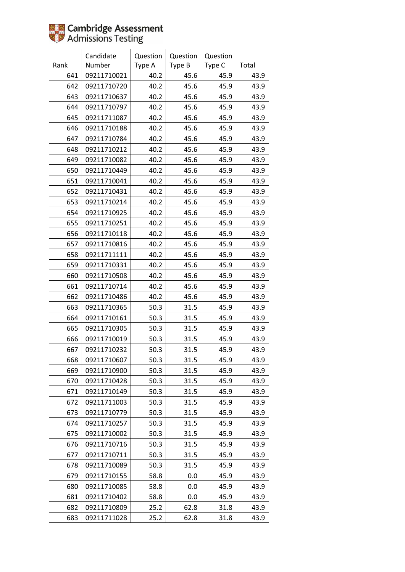|      | Candidate   | Question | Question | Question |       |
|------|-------------|----------|----------|----------|-------|
| Rank | Number      | Type A   | Type B   | Type C   | Total |
| 641  | 09211710021 | 40.2     | 45.6     | 45.9     | 43.9  |
| 642  | 09211710720 | 40.2     | 45.6     | 45.9     | 43.9  |
| 643  | 09211710637 | 40.2     | 45.6     | 45.9     | 43.9  |
| 644  | 09211710797 | 40.2     | 45.6     | 45.9     | 43.9  |
| 645  | 09211711087 | 40.2     | 45.6     | 45.9     | 43.9  |
| 646  | 09211710188 | 40.2     | 45.6     | 45.9     | 43.9  |
| 647  | 09211710784 | 40.2     | 45.6     | 45.9     | 43.9  |
| 648  | 09211710212 | 40.2     | 45.6     | 45.9     | 43.9  |
| 649  | 09211710082 | 40.2     | 45.6     | 45.9     | 43.9  |
| 650  | 09211710449 | 40.2     | 45.6     | 45.9     | 43.9  |
| 651  | 09211710041 | 40.2     | 45.6     | 45.9     | 43.9  |
| 652  | 09211710431 | 40.2     | 45.6     | 45.9     | 43.9  |
| 653  | 09211710214 | 40.2     | 45.6     | 45.9     | 43.9  |
| 654  | 09211710925 | 40.2     | 45.6     | 45.9     | 43.9  |
| 655  | 09211710251 | 40.2     | 45.6     | 45.9     | 43.9  |
| 656  | 09211710118 | 40.2     | 45.6     | 45.9     | 43.9  |
| 657  | 09211710816 | 40.2     | 45.6     | 45.9     | 43.9  |
| 658  | 09211711111 | 40.2     | 45.6     | 45.9     | 43.9  |
| 659  | 09211710331 | 40.2     | 45.6     | 45.9     | 43.9  |
| 660  | 09211710508 | 40.2     | 45.6     | 45.9     | 43.9  |
| 661  | 09211710714 | 40.2     | 45.6     | 45.9     | 43.9  |
| 662  | 09211710486 | 40.2     | 45.6     | 45.9     | 43.9  |
| 663  | 09211710365 | 50.3     | 31.5     | 45.9     | 43.9  |
| 664  | 09211710161 | 50.3     | 31.5     | 45.9     | 43.9  |
| 665  | 09211710305 | 50.3     | 31.5     | 45.9     | 43.9  |
| 666  | 09211710019 | 50.3     | 31.5     | 45.9     | 43.9  |
| 667  | 09211710232 | 50.3     | 31.5     | 45.9     | 43.9  |
| 668  | 09211710607 | 50.3     | 31.5     | 45.9     | 43.9  |
| 669  | 09211710900 | 50.3     | 31.5     | 45.9     | 43.9  |
| 670  | 09211710428 | 50.3     | 31.5     | 45.9     | 43.9  |
| 671  | 09211710149 | 50.3     | 31.5     | 45.9     | 43.9  |
| 672  | 09211711003 | 50.3     | 31.5     | 45.9     | 43.9  |
| 673  | 09211710779 | 50.3     | 31.5     | 45.9     | 43.9  |
| 674  | 09211710257 | 50.3     | 31.5     | 45.9     | 43.9  |
| 675  | 09211710002 | 50.3     | 31.5     | 45.9     | 43.9  |
| 676  | 09211710716 | 50.3     | 31.5     | 45.9     | 43.9  |
| 677  | 09211710711 | 50.3     | 31.5     | 45.9     | 43.9  |
| 678  | 09211710089 | 50.3     | 31.5     | 45.9     | 43.9  |
| 679  | 09211710155 | 58.8     | 0.0      | 45.9     | 43.9  |
| 680  | 09211710085 | 58.8     | 0.0      | 45.9     | 43.9  |
| 681  | 09211710402 | 58.8     | 0.0      | 45.9     | 43.9  |
| 682  | 09211710809 | 25.2     | 62.8     | 31.8     | 43.9  |
| 683  | 09211711028 | 25.2     | 62.8     | 31.8     | 43.9  |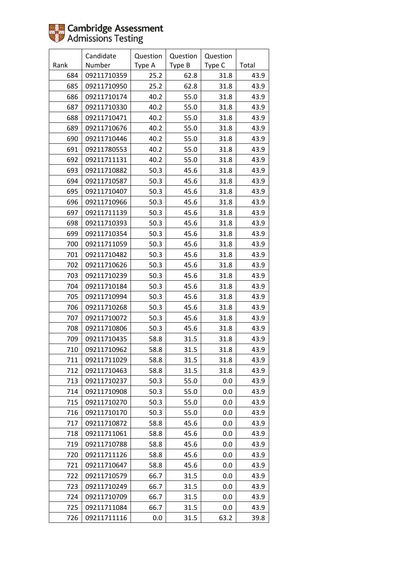|      | Candidate   | Question | Question | Question |       |
|------|-------------|----------|----------|----------|-------|
| Rank | Number      | Type A   | Type B   | Type C   | Total |
| 684  | 09211710359 | 25.2     | 62.8     | 31.8     | 43.9  |
| 685  | 09211710950 | 25.2     | 62.8     | 31.8     | 43.9  |
| 686  | 09211710174 | 40.2     | 55.0     | 31.8     | 43.9  |
| 687  | 09211710330 | 40.2     | 55.0     | 31.8     | 43.9  |
| 688  | 09211710471 | 40.2     | 55.0     | 31.8     | 43.9  |
| 689  | 09211710676 | 40.2     | 55.0     | 31.8     | 43.9  |
| 690  | 09211710446 | 40.2     | 55.0     | 31.8     | 43.9  |
| 691  | 09211780553 | 40.2     | 55.0     | 31.8     | 43.9  |
| 692  | 09211711131 | 40.2     | 55.0     | 31.8     | 43.9  |
| 693  | 09211710882 | 50.3     | 45.6     | 31.8     | 43.9  |
| 694  | 09211710587 | 50.3     | 45.6     | 31.8     | 43.9  |
| 695  | 09211710407 | 50.3     | 45.6     | 31.8     | 43.9  |
| 696  | 09211710966 | 50.3     | 45.6     | 31.8     | 43.9  |
| 697  | 09211711139 | 50.3     | 45.6     | 31.8     | 43.9  |
| 698  | 09211710393 | 50.3     | 45.6     | 31.8     | 43.9  |
| 699  | 09211710354 | 50.3     | 45.6     | 31.8     | 43.9  |
| 700  | 09211711059 | 50.3     | 45.6     | 31.8     | 43.9  |
| 701  | 09211710482 | 50.3     | 45.6     | 31.8     | 43.9  |
| 702  | 09211710626 | 50.3     | 45.6     | 31.8     | 43.9  |
| 703  | 09211710239 | 50.3     | 45.6     | 31.8     | 43.9  |
| 704  | 09211710184 | 50.3     | 45.6     | 31.8     | 43.9  |
| 705  | 09211710994 | 50.3     | 45.6     | 31.8     | 43.9  |
| 706  | 09211710268 | 50.3     | 45.6     | 31.8     | 43.9  |
| 707  | 09211710072 | 50.3     | 45.6     | 31.8     | 43.9  |
| 708  | 09211710806 | 50.3     | 45.6     | 31.8     | 43.9  |
| 709  | 09211710435 | 58.8     | 31.5     | 31.8     | 43.9  |
| 710  | 09211710962 | 58.8     | 31.5     | 31.8     | 43.9  |
| 711  | 09211711029 | 58.8     | 31.5     | 31.8     | 43.9  |
| 712  | 09211710463 | 58.8     | 31.5     | 31.8     | 43.9  |
| 713  | 09211710237 | 50.3     | 55.0     | 0.0      | 43.9  |
| 714  | 09211710908 | 50.3     | 55.0     | 0.0      | 43.9  |
| 715  | 09211710270 | 50.3     | 55.0     | 0.0      | 43.9  |
| 716  | 09211710170 | 50.3     | 55.0     | 0.0      | 43.9  |
| 717  | 09211710872 | 58.8     | 45.6     | 0.0      | 43.9  |
| 718  | 09211711061 | 58.8     | 45.6     | 0.0      | 43.9  |
| 719  | 09211710788 | 58.8     | 45.6     | 0.0      | 43.9  |
| 720  | 09211711126 | 58.8     | 45.6     | 0.0      | 43.9  |
| 721  | 09211710647 | 58.8     | 45.6     | 0.0      | 43.9  |
| 722  | 09211710579 | 66.7     | 31.5     | 0.0      | 43.9  |
| 723  | 09211710249 | 66.7     | 31.5     | 0.0      | 43.9  |
| 724  | 09211710709 | 66.7     | 31.5     | 0.0      | 43.9  |
| 725  | 09211711084 | 66.7     | 31.5     | 0.0      | 43.9  |
| 726  | 09211711116 | 0.0      | 31.5     | 63.2     | 39.8  |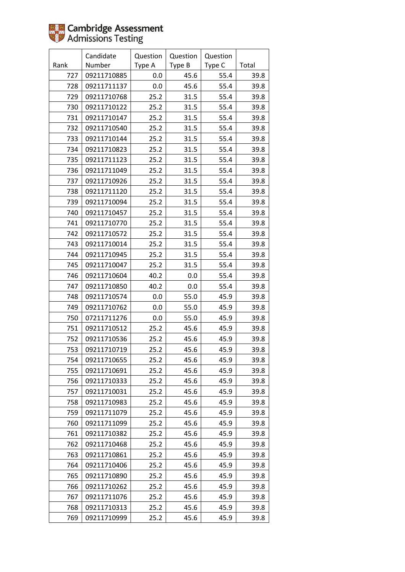|      | Candidate   | Question | Question | Question |       |
|------|-------------|----------|----------|----------|-------|
| Rank | Number      | Type A   | Type B   | Type C   | Total |
| 727  | 09211710885 | 0.0      | 45.6     | 55.4     | 39.8  |
| 728  | 09211711137 | 0.0      | 45.6     | 55.4     | 39.8  |
| 729  | 09211710768 | 25.2     | 31.5     | 55.4     | 39.8  |
| 730  | 09211710122 | 25.2     | 31.5     | 55.4     | 39.8  |
| 731  | 09211710147 | 25.2     | 31.5     | 55.4     | 39.8  |
| 732  | 09211710540 | 25.2     | 31.5     | 55.4     | 39.8  |
| 733  | 09211710144 | 25.2     | 31.5     | 55.4     | 39.8  |
| 734  | 09211710823 | 25.2     | 31.5     | 55.4     | 39.8  |
| 735  | 09211711123 | 25.2     | 31.5     | 55.4     | 39.8  |
| 736  | 09211711049 | 25.2     | 31.5     | 55.4     | 39.8  |
| 737  | 09211710926 | 25.2     | 31.5     | 55.4     | 39.8  |
| 738  | 09211711120 | 25.2     | 31.5     | 55.4     | 39.8  |
| 739  | 09211710094 | 25.2     | 31.5     | 55.4     | 39.8  |
| 740  | 09211710457 | 25.2     | 31.5     | 55.4     | 39.8  |
| 741  | 09211710770 | 25.2     | 31.5     | 55.4     | 39.8  |
| 742  | 09211710572 | 25.2     | 31.5     | 55.4     | 39.8  |
| 743  | 09211710014 | 25.2     | 31.5     | 55.4     | 39.8  |
| 744  | 09211710945 | 25.2     | 31.5     | 55.4     | 39.8  |
| 745  | 09211710047 | 25.2     | 31.5     | 55.4     | 39.8  |
| 746  | 09211710604 | 40.2     | 0.0      | 55.4     | 39.8  |
| 747  | 09211710850 | 40.2     | 0.0      | 55.4     | 39.8  |
| 748  | 09211710574 | $0.0\,$  | 55.0     | 45.9     | 39.8  |
| 749  | 09211710762 | 0.0      | 55.0     | 45.9     | 39.8  |
| 750  | 07211711276 | 0.0      | 55.0     | 45.9     | 39.8  |
| 751  | 09211710512 | 25.2     | 45.6     | 45.9     | 39.8  |
| 752  | 09211710536 | 25.2     | 45.6     | 45.9     | 39.8  |
| 753  | 09211710719 | 25.2     | 45.6     | 45.9     | 39.8  |
| 754  | 09211710655 | 25.2     | 45.6     | 45.9     | 39.8  |
| 755  | 09211710691 | 25.2     | 45.6     | 45.9     | 39.8  |
| 756  | 09211710333 | 25.2     | 45.6     | 45.9     | 39.8  |
| 757  | 09211710031 | 25.2     | 45.6     | 45.9     | 39.8  |
| 758  | 09211710983 | 25.2     | 45.6     | 45.9     | 39.8  |
| 759  | 09211711079 | 25.2     | 45.6     | 45.9     | 39.8  |
| 760  | 09211711099 | 25.2     | 45.6     | 45.9     | 39.8  |
| 761  | 09211710382 | 25.2     | 45.6     | 45.9     | 39.8  |
| 762  | 09211710468 | 25.2     | 45.6     | 45.9     | 39.8  |
| 763  | 09211710861 | 25.2     | 45.6     | 45.9     | 39.8  |
| 764  | 09211710406 | 25.2     | 45.6     | 45.9     | 39.8  |
| 765  | 09211710890 | 25.2     | 45.6     | 45.9     | 39.8  |
| 766  | 09211710262 | 25.2     | 45.6     | 45.9     | 39.8  |
| 767  | 09211711076 | 25.2     | 45.6     | 45.9     | 39.8  |
| 768  | 09211710313 | 25.2     | 45.6     | 45.9     | 39.8  |
| 769  | 09211710999 | 25.2     | 45.6     | 45.9     | 39.8  |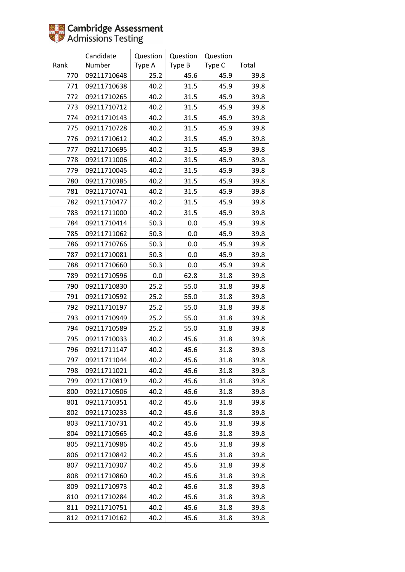|      | Candidate   | Question | Question | Question |       |
|------|-------------|----------|----------|----------|-------|
| Rank | Number      | Type A   | Type B   | Type C   | Total |
| 770  | 09211710648 | 25.2     | 45.6     | 45.9     | 39.8  |
| 771  | 09211710638 | 40.2     | 31.5     | 45.9     | 39.8  |
| 772  | 09211710265 | 40.2     | 31.5     | 45.9     | 39.8  |
| 773  | 09211710712 | 40.2     | 31.5     | 45.9     | 39.8  |
| 774  | 09211710143 | 40.2     | 31.5     | 45.9     | 39.8  |
| 775  | 09211710728 | 40.2     | 31.5     | 45.9     | 39.8  |
| 776  | 09211710612 | 40.2     | 31.5     | 45.9     | 39.8  |
| 777  | 09211710695 | 40.2     | 31.5     | 45.9     | 39.8  |
| 778  | 09211711006 | 40.2     | 31.5     | 45.9     | 39.8  |
| 779  | 09211710045 | 40.2     | 31.5     | 45.9     | 39.8  |
| 780  | 09211710385 | 40.2     | 31.5     | 45.9     | 39.8  |
| 781  | 09211710741 | 40.2     | 31.5     | 45.9     | 39.8  |
| 782  | 09211710477 | 40.2     | 31.5     | 45.9     | 39.8  |
| 783  | 09211711000 | 40.2     | 31.5     | 45.9     | 39.8  |
| 784  | 09211710414 | 50.3     | 0.0      | 45.9     | 39.8  |
| 785  | 09211711062 | 50.3     | 0.0      | 45.9     | 39.8  |
| 786  | 09211710766 | 50.3     | 0.0      | 45.9     | 39.8  |
| 787  | 09211710081 | 50.3     | 0.0      | 45.9     | 39.8  |
| 788  | 09211710660 | 50.3     | 0.0      | 45.9     | 39.8  |
| 789  | 09211710596 | 0.0      | 62.8     | 31.8     | 39.8  |
| 790  | 09211710830 | 25.2     | 55.0     | 31.8     | 39.8  |
| 791  | 09211710592 | 25.2     | 55.0     | 31.8     | 39.8  |
| 792  | 09211710197 | 25.2     | 55.0     | 31.8     | 39.8  |
| 793  | 09211710949 | 25.2     | 55.0     | 31.8     | 39.8  |
| 794  | 09211710589 | 25.2     | 55.0     | 31.8     | 39.8  |
| 795  | 09211710033 | 40.2     | 45.6     | 31.8     | 39.8  |
| 796  | 09211711147 | 40.2     | 45.6     | 31.8     | 39.8  |
| 797  | 09211711044 | 40.2     | 45.6     | 31.8     | 39.8  |
| 798  | 09211711021 | 40.2     | 45.6     | 31.8     | 39.8  |
| 799  | 09211710819 | 40.2     | 45.6     | 31.8     | 39.8  |
| 800  | 09211710506 | 40.2     | 45.6     | 31.8     | 39.8  |
| 801  | 09211710351 | 40.2     | 45.6     | 31.8     | 39.8  |
| 802  | 09211710233 | 40.2     | 45.6     | 31.8     | 39.8  |
| 803  | 09211710731 | 40.2     | 45.6     | 31.8     | 39.8  |
| 804  | 09211710565 | 40.2     | 45.6     | 31.8     | 39.8  |
| 805  | 09211710986 | 40.2     | 45.6     | 31.8     | 39.8  |
| 806  | 09211710842 | 40.2     | 45.6     | 31.8     | 39.8  |
| 807  | 09211710307 | 40.2     | 45.6     | 31.8     | 39.8  |
| 808  | 09211710860 | 40.2     | 45.6     | 31.8     | 39.8  |
| 809  | 09211710973 | 40.2     | 45.6     | 31.8     | 39.8  |
| 810  | 09211710284 | 40.2     | 45.6     | 31.8     | 39.8  |
| 811  | 09211710751 | 40.2     | 45.6     | 31.8     | 39.8  |
| 812  | 09211710162 | 40.2     | 45.6     | 31.8     | 39.8  |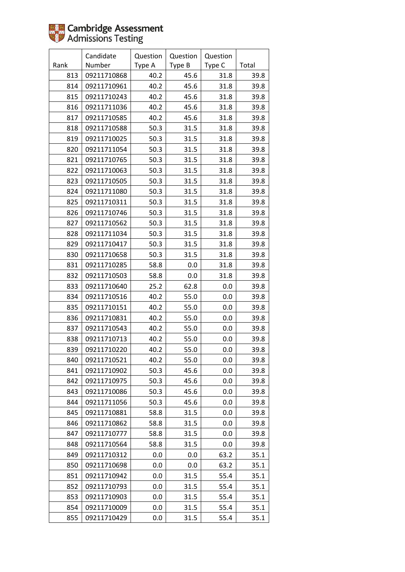|      | Candidate   | Question | Question | Question |       |
|------|-------------|----------|----------|----------|-------|
| Rank | Number      | Type A   | Type B   | Type C   | Total |
| 813  | 09211710868 | 40.2     | 45.6     | 31.8     | 39.8  |
| 814  | 09211710961 | 40.2     | 45.6     | 31.8     | 39.8  |
| 815  | 09211710243 | 40.2     | 45.6     | 31.8     | 39.8  |
| 816  | 09211711036 | 40.2     | 45.6     | 31.8     | 39.8  |
| 817  | 09211710585 | 40.2     | 45.6     | 31.8     | 39.8  |
| 818  | 09211710588 | 50.3     | 31.5     | 31.8     | 39.8  |
| 819  | 09211710025 | 50.3     | 31.5     | 31.8     | 39.8  |
| 820  | 09211711054 | 50.3     | 31.5     | 31.8     | 39.8  |
| 821  | 09211710765 | 50.3     | 31.5     | 31.8     | 39.8  |
| 822  | 09211710063 | 50.3     | 31.5     | 31.8     | 39.8  |
| 823  | 09211710505 | 50.3     | 31.5     | 31.8     | 39.8  |
| 824  | 09211711080 | 50.3     | 31.5     | 31.8     | 39.8  |
| 825  | 09211710311 | 50.3     | 31.5     | 31.8     | 39.8  |
| 826  | 09211710746 | 50.3     | 31.5     | 31.8     | 39.8  |
| 827  | 09211710562 | 50.3     | 31.5     | 31.8     | 39.8  |
| 828  | 09211711034 | 50.3     | 31.5     | 31.8     | 39.8  |
| 829  | 09211710417 | 50.3     | 31.5     | 31.8     | 39.8  |
| 830  | 09211710658 | 50.3     | 31.5     | 31.8     | 39.8  |
| 831  | 09211710285 | 58.8     | 0.0      | 31.8     | 39.8  |
| 832  | 09211710503 | 58.8     | 0.0      | 31.8     | 39.8  |
| 833  | 09211710640 | 25.2     | 62.8     | 0.0      | 39.8  |
| 834  | 09211710516 | 40.2     | 55.0     | 0.0      | 39.8  |
| 835  | 09211710151 | 40.2     | 55.0     | 0.0      | 39.8  |
| 836  | 09211710831 | 40.2     | 55.0     | 0.0      | 39.8  |
| 837  | 09211710543 | 40.2     | 55.0     | 0.0      | 39.8  |
| 838  | 09211710713 | 40.2     | 55.0     | 0.0      | 39.8  |
| 839  | 09211710220 | 40.2     | 55.0     | 0.0      | 39.8  |
| 840  | 09211710521 | 40.2     | 55.0     | 0.0      | 39.8  |
| 841  | 09211710902 | 50.3     | 45.6     | 0.0      | 39.8  |
| 842  | 09211710975 | 50.3     | 45.6     | 0.0      | 39.8  |
| 843  | 09211710086 | 50.3     | 45.6     | 0.0      | 39.8  |
| 844  | 09211711056 | 50.3     | 45.6     | 0.0      | 39.8  |
| 845  | 09211710881 | 58.8     | 31.5     | 0.0      | 39.8  |
| 846  | 09211710862 | 58.8     | 31.5     | 0.0      | 39.8  |
| 847  | 09211710777 | 58.8     | 31.5     | 0.0      | 39.8  |
| 848  | 09211710564 | 58.8     | 31.5     | 0.0      | 39.8  |
| 849  | 09211710312 | $0.0\,$  | 0.0      | 63.2     | 35.1  |
| 850  | 09211710698 | 0.0      | 0.0      | 63.2     | 35.1  |
| 851  | 09211710942 | 0.0      | 31.5     | 55.4     | 35.1  |
| 852  | 09211710793 | 0.0      | 31.5     | 55.4     | 35.1  |
| 853  | 09211710903 | 0.0      | 31.5     | 55.4     | 35.1  |
| 854  | 09211710009 | 0.0      | 31.5     | 55.4     | 35.1  |
| 855  | 09211710429 | 0.0      | 31.5     | 55.4     | 35.1  |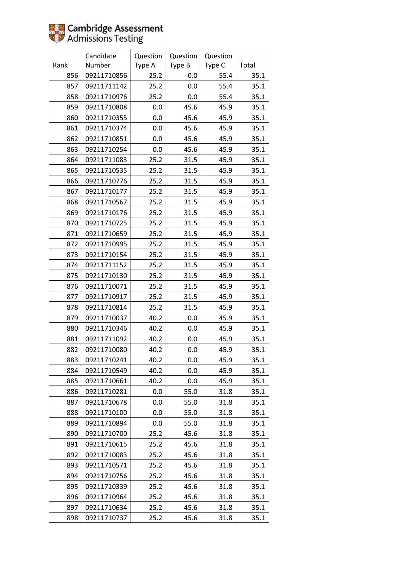|      | Candidate   | Question | Question | Question |       |
|------|-------------|----------|----------|----------|-------|
| Rank | Number      | Type A   | Type B   | Type C   | Total |
| 856  | 09211710856 | 25.2     | 0.0      | 55.4     | 35.1  |
| 857  | 09211711142 | 25.2     | 0.0      | 55.4     | 35.1  |
| 858  | 09211710976 | 25.2     | 0.0      | 55.4     | 35.1  |
| 859  | 09211710808 | 0.0      | 45.6     | 45.9     | 35.1  |
| 860  | 09211710355 | 0.0      | 45.6     | 45.9     | 35.1  |
| 861  | 09211710374 | 0.0      | 45.6     | 45.9     | 35.1  |
| 862  | 09211710851 | 0.0      | 45.6     | 45.9     | 35.1  |
| 863  | 09211710254 | 0.0      | 45.6     | 45.9     | 35.1  |
| 864  | 09211711083 | 25.2     | 31.5     | 45.9     | 35.1  |
| 865  | 09211710535 | 25.2     | 31.5     | 45.9     | 35.1  |
| 866  | 09211710776 | 25.2     | 31.5     | 45.9     | 35.1  |
| 867  | 09211710177 | 25.2     | 31.5     | 45.9     | 35.1  |
| 868  | 09211710567 | 25.2     | 31.5     | 45.9     | 35.1  |
| 869  | 09211710176 | 25.2     | 31.5     | 45.9     | 35.1  |
| 870  | 09211710725 | 25.2     | 31.5     | 45.9     | 35.1  |
| 871  | 09211710659 | 25.2     | 31.5     | 45.9     | 35.1  |
| 872  | 09211710995 | 25.2     | 31.5     | 45.9     | 35.1  |
| 873  | 09211710154 | 25.2     | 31.5     | 45.9     | 35.1  |
| 874  | 09211711152 | 25.2     | 31.5     | 45.9     | 35.1  |
| 875  | 09211710130 | 25.2     | 31.5     | 45.9     | 35.1  |
| 876  | 09211710071 | 25.2     | 31.5     | 45.9     | 35.1  |
| 877  | 09211710917 | 25.2     | 31.5     | 45.9     | 35.1  |
| 878  | 09211710814 | 25.2     | 31.5     | 45.9     | 35.1  |
| 879  | 09211710037 | 40.2     | 0.0      | 45.9     | 35.1  |
| 880  | 09211710346 | 40.2     | 0.0      | 45.9     | 35.1  |
| 881  | 09211711092 | 40.2     | 0.0      | 45.9     | 35.1  |
| 882  | 09211710080 | 40.2     | 0.0      | 45.9     | 35.1  |
| 883  | 09211710241 | 40.2     | 0.0      | 45.9     | 35.1  |
| 884  | 09211710549 | 40.2     | 0.0      | 45.9     | 35.1  |
| 885  | 09211710661 | 40.2     | 0.0      | 45.9     | 35.1  |
| 886  | 09211710281 | 0.0      | 55.0     | 31.8     | 35.1  |
| 887  | 09211710678 | 0.0      | 55.0     | 31.8     | 35.1  |
| 888  | 09211710100 | 0.0      | 55.0     | 31.8     | 35.1  |
| 889  | 09211710894 | 0.0      | 55.0     | 31.8     | 35.1  |
| 890  | 09211710700 | 25.2     | 45.6     | 31.8     | 35.1  |
| 891  | 09211710615 | 25.2     | 45.6     | 31.8     | 35.1  |
| 892  | 09211710083 | 25.2     | 45.6     | 31.8     | 35.1  |
| 893  | 09211710571 | 25.2     | 45.6     | 31.8     | 35.1  |
| 894  | 09211710756 | 25.2     | 45.6     | 31.8     | 35.1  |
| 895  | 09211710339 | 25.2     | 45.6     | 31.8     | 35.1  |
| 896  | 09211710964 | 25.2     | 45.6     | 31.8     | 35.1  |
| 897  | 09211710634 | 25.2     | 45.6     | 31.8     | 35.1  |
| 898  | 09211710737 | 25.2     | 45.6     | 31.8     | 35.1  |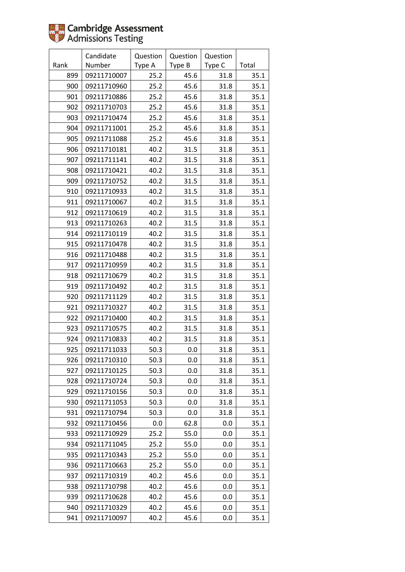|      | Candidate   | Question | Question | Question |       |
|------|-------------|----------|----------|----------|-------|
| Rank | Number      | Type A   | Type B   | Type C   | Total |
| 899  | 09211710007 | 25.2     | 45.6     | 31.8     | 35.1  |
| 900  | 09211710960 | 25.2     | 45.6     | 31.8     | 35.1  |
| 901  | 09211710886 | 25.2     | 45.6     | 31.8     | 35.1  |
| 902  | 09211710703 | 25.2     | 45.6     | 31.8     | 35.1  |
| 903  | 09211710474 | 25.2     | 45.6     | 31.8     | 35.1  |
| 904  | 09211711001 | 25.2     | 45.6     | 31.8     | 35.1  |
| 905  | 09211711088 | 25.2     | 45.6     | 31.8     | 35.1  |
| 906  | 09211710181 | 40.2     | 31.5     | 31.8     | 35.1  |
| 907  | 09211711141 | 40.2     | 31.5     | 31.8     | 35.1  |
| 908  | 09211710421 | 40.2     | 31.5     | 31.8     | 35.1  |
| 909  | 09211710752 | 40.2     | 31.5     | 31.8     | 35.1  |
| 910  | 09211710933 | 40.2     | 31.5     | 31.8     | 35.1  |
| 911  | 09211710067 | 40.2     | 31.5     | 31.8     | 35.1  |
| 912  | 09211710619 | 40.2     | 31.5     | 31.8     | 35.1  |
| 913  | 09211710263 | 40.2     | 31.5     | 31.8     | 35.1  |
| 914  | 09211710119 | 40.2     | 31.5     | 31.8     | 35.1  |
| 915  | 09211710478 | 40.2     | 31.5     | 31.8     | 35.1  |
| 916  | 09211710488 | 40.2     | 31.5     | 31.8     | 35.1  |
| 917  | 09211710959 | 40.2     | 31.5     | 31.8     | 35.1  |
| 918  | 09211710679 | 40.2     | 31.5     | 31.8     | 35.1  |
| 919  | 09211710492 | 40.2     | 31.5     | 31.8     | 35.1  |
| 920  | 09211711129 | 40.2     | 31.5     | 31.8     | 35.1  |
| 921  | 09211710327 | 40.2     | 31.5     | 31.8     | 35.1  |
| 922  | 09211710400 | 40.2     | 31.5     | 31.8     | 35.1  |
| 923  | 09211710575 | 40.2     | 31.5     | 31.8     | 35.1  |
| 924  | 09211710833 | 40.2     | 31.5     | 31.8     | 35.1  |
| 925  | 09211711033 | 50.3     | 0.0      | 31.8     | 35.1  |
| 926  | 09211710310 | 50.3     | 0.0      | 31.8     | 35.1  |
| 927  | 09211710125 | 50.3     | 0.0      | 31.8     | 35.1  |
| 928  | 09211710724 | 50.3     | 0.0      | 31.8     | 35.1  |
| 929  | 09211710156 | 50.3     | 0.0      | 31.8     | 35.1  |
| 930  | 09211711053 | 50.3     | 0.0      | 31.8     | 35.1  |
| 931  | 09211710794 | 50.3     | 0.0      | 31.8     | 35.1  |
| 932  | 09211710456 | 0.0      | 62.8     | 0.0      | 35.1  |
| 933  | 09211710929 | 25.2     | 55.0     | 0.0      | 35.1  |
| 934  | 09211711045 | 25.2     | 55.0     | 0.0      | 35.1  |
| 935  | 09211710343 | 25.2     | 55.0     | 0.0      | 35.1  |
| 936  | 09211710663 | 25.2     | 55.0     | 0.0      | 35.1  |
| 937  | 09211710319 | 40.2     | 45.6     | 0.0      | 35.1  |
| 938  | 09211710798 | 40.2     | 45.6     | 0.0      | 35.1  |
| 939  | 09211710628 | 40.2     | 45.6     | 0.0      | 35.1  |
| 940  | 09211710329 | 40.2     | 45.6     | 0.0      | 35.1  |
| 941  | 09211710097 | 40.2     | 45.6     | 0.0      | 35.1  |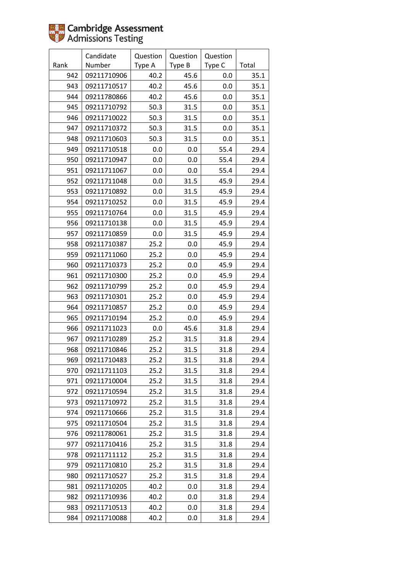|      | Candidate   | Question | Question | Question |       |
|------|-------------|----------|----------|----------|-------|
| Rank | Number      | Type A   | Type B   | Type C   | Total |
| 942  | 09211710906 | 40.2     | 45.6     | 0.0      | 35.1  |
| 943  | 09211710517 | 40.2     | 45.6     | 0.0      | 35.1  |
| 944  | 09211780866 | 40.2     | 45.6     | 0.0      | 35.1  |
| 945  | 09211710792 | 50.3     | 31.5     | 0.0      | 35.1  |
| 946  | 09211710022 | 50.3     | 31.5     | 0.0      | 35.1  |
| 947  | 09211710372 | 50.3     | 31.5     | 0.0      | 35.1  |
| 948  | 09211710603 | 50.3     | 31.5     | 0.0      | 35.1  |
| 949  | 09211710518 | 0.0      | 0.0      | 55.4     | 29.4  |
| 950  | 09211710947 | 0.0      | 0.0      | 55.4     | 29.4  |
| 951  | 09211711067 | 0.0      | 0.0      | 55.4     | 29.4  |
| 952  | 09211711048 | 0.0      | 31.5     | 45.9     | 29.4  |
| 953  | 09211710892 | 0.0      | 31.5     | 45.9     | 29.4  |
| 954  | 09211710252 | 0.0      | 31.5     | 45.9     | 29.4  |
| 955  | 09211710764 | 0.0      | 31.5     | 45.9     | 29.4  |
| 956  | 09211710138 | 0.0      | 31.5     | 45.9     | 29.4  |
| 957  | 09211710859 | 0.0      | 31.5     | 45.9     | 29.4  |
| 958  | 09211710387 | 25.2     | 0.0      | 45.9     | 29.4  |
| 959  | 09211711060 | 25.2     | 0.0      | 45.9     | 29.4  |
| 960  | 09211710373 | 25.2     | 0.0      | 45.9     | 29.4  |
| 961  | 09211710300 | 25.2     | 0.0      | 45.9     | 29.4  |
| 962  | 09211710799 | 25.2     | 0.0      | 45.9     | 29.4  |
| 963  | 09211710301 | 25.2     | 0.0      | 45.9     | 29.4  |
| 964  | 09211710857 | 25.2     | 0.0      | 45.9     | 29.4  |
| 965  | 09211710194 | 25.2     | 0.0      | 45.9     | 29.4  |
| 966  | 09211711023 | 0.0      | 45.6     | 31.8     | 29.4  |
| 967  | 09211710289 | 25.2     | 31.5     | 31.8     | 29.4  |
| 968  | 09211710846 | 25.2     | 31.5     | 31.8     | 29.4  |
| 969  | 09211710483 | 25.2     | 31.5     | 31.8     | 29.4  |
| 970  | 09211711103 | 25.2     | 31.5     | 31.8     | 29.4  |
| 971  | 09211710004 | 25.2     | 31.5     | 31.8     | 29.4  |
| 972  | 09211710594 | 25.2     | 31.5     | 31.8     | 29.4  |
| 973  | 09211710972 | 25.2     | 31.5     | 31.8     | 29.4  |
| 974  | 09211710666 | 25.2     | 31.5     | 31.8     | 29.4  |
| 975  | 09211710504 | 25.2     | 31.5     | 31.8     | 29.4  |
| 976  | 09211780061 | 25.2     | 31.5     | 31.8     | 29.4  |
| 977  | 09211710416 | 25.2     | 31.5     | 31.8     | 29.4  |
| 978  | 09211711112 | 25.2     | 31.5     | 31.8     | 29.4  |
| 979  | 09211710810 | 25.2     | 31.5     | 31.8     | 29.4  |
| 980  | 09211710527 | 25.2     | 31.5     | 31.8     | 29.4  |
| 981  | 09211710205 | 40.2     | 0.0      | 31.8     | 29.4  |
| 982  | 09211710936 | 40.2     | 0.0      | 31.8     | 29.4  |
| 983  | 09211710513 | 40.2     | 0.0      | 31.8     | 29.4  |
| 984  | 09211710088 | 40.2     | 0.0      | 31.8     | 29.4  |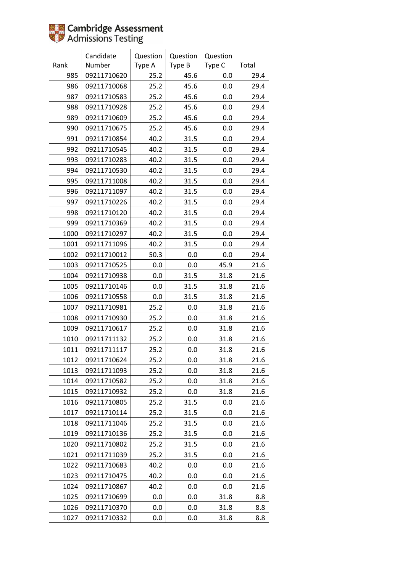|      | Candidate   | Question | Question | Question |       |
|------|-------------|----------|----------|----------|-------|
| Rank | Number      | Type A   | Type B   | Type C   | Total |
| 985  | 09211710620 | 25.2     | 45.6     | 0.0      | 29.4  |
| 986  | 09211710068 | 25.2     | 45.6     | 0.0      | 29.4  |
| 987  | 09211710583 | 25.2     | 45.6     | 0.0      | 29.4  |
| 988  | 09211710928 | 25.2     | 45.6     | 0.0      | 29.4  |
| 989  | 09211710609 | 25.2     | 45.6     | 0.0      | 29.4  |
| 990  | 09211710675 | 25.2     | 45.6     | 0.0      | 29.4  |
| 991  | 09211710854 | 40.2     | 31.5     | 0.0      | 29.4  |
| 992  | 09211710545 | 40.2     | 31.5     | 0.0      | 29.4  |
| 993  | 09211710283 | 40.2     | 31.5     | 0.0      | 29.4  |
| 994  | 09211710530 | 40.2     | 31.5     | 0.0      | 29.4  |
| 995  | 09211711008 | 40.2     | 31.5     | 0.0      | 29.4  |
| 996  | 09211711097 | 40.2     | 31.5     | 0.0      | 29.4  |
| 997  | 09211710226 | 40.2     | 31.5     | 0.0      | 29.4  |
| 998  | 09211710120 | 40.2     | 31.5     | 0.0      | 29.4  |
| 999  | 09211710369 | 40.2     | 31.5     | 0.0      | 29.4  |
| 1000 | 09211710297 | 40.2     | 31.5     | 0.0      | 29.4  |
| 1001 | 09211711096 | 40.2     | 31.5     | 0.0      | 29.4  |
| 1002 | 09211710012 | 50.3     | 0.0      | 0.0      | 29.4  |
| 1003 | 09211710525 | 0.0      | 0.0      | 45.9     | 21.6  |
| 1004 | 09211710938 | $0.0\,$  | 31.5     | 31.8     | 21.6  |
| 1005 | 09211710146 | 0.0      | 31.5     | 31.8     | 21.6  |
| 1006 | 09211710558 | 0.0      | 31.5     | 31.8     | 21.6  |
| 1007 | 09211710981 | 25.2     | 0.0      | 31.8     | 21.6  |
| 1008 | 09211710930 | 25.2     | 0.0      | 31.8     | 21.6  |
| 1009 | 09211710617 | 25.2     | 0.0      | 31.8     | 21.6  |
| 1010 | 09211711132 | 25.2     | 0.0      | 31.8     | 21.6  |
| 1011 | 09211711117 | 25.2     | 0.0      | 31.8     | 21.6  |
| 1012 | 09211710624 | 25.2     | 0.0      | 31.8     | 21.6  |
| 1013 | 09211711093 | 25.2     | 0.0      | 31.8     | 21.6  |
| 1014 | 09211710582 | 25.2     | 0.0      | 31.8     | 21.6  |
| 1015 | 09211710932 | 25.2     | 0.0      | 31.8     | 21.6  |
| 1016 | 09211710805 | 25.2     | 31.5     | 0.0      | 21.6  |
| 1017 | 09211710114 | 25.2     | 31.5     | 0.0      | 21.6  |
| 1018 | 09211711046 | 25.2     | 31.5     | 0.0      | 21.6  |
| 1019 | 09211710136 | 25.2     | 31.5     | 0.0      | 21.6  |
| 1020 | 09211710802 | 25.2     | 31.5     | 0.0      | 21.6  |
| 1021 | 09211711039 | 25.2     | 31.5     | 0.0      | 21.6  |
| 1022 | 09211710683 | 40.2     | 0.0      | 0.0      | 21.6  |
| 1023 | 09211710475 | 40.2     | 0.0      | 0.0      | 21.6  |
| 1024 | 09211710867 | 40.2     | 0.0      | 0.0      | 21.6  |
| 1025 | 09211710699 | 0.0      | 0.0      | 31.8     | 8.8   |
| 1026 | 09211710370 | 0.0      | 0.0      | 31.8     | 8.8   |
| 1027 | 09211710332 | 0.0      | 0.0      | 31.8     | 8.8   |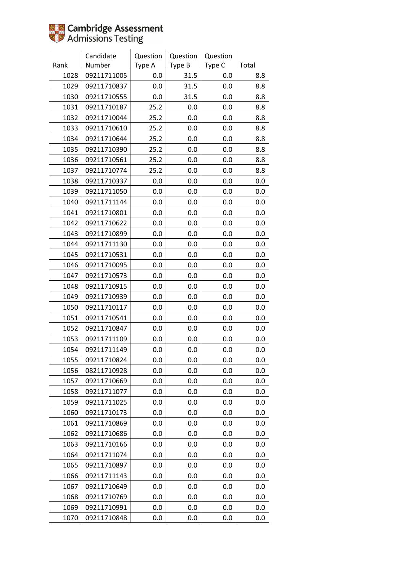|      | Candidate   | Question | Question | Question |       |
|------|-------------|----------|----------|----------|-------|
| Rank | Number      | Type A   | Type B   | Type C   | Total |
| 1028 | 09211711005 | 0.0      | 31.5     | 0.0      | 8.8   |
| 1029 | 09211710837 | 0.0      | 31.5     | 0.0      | 8.8   |
| 1030 | 09211710555 | 0.0      | 31.5     | 0.0      | 8.8   |
| 1031 | 09211710187 | 25.2     | 0.0      | 0.0      | 8.8   |
| 1032 | 09211710044 | 25.2     | 0.0      | 0.0      | 8.8   |
| 1033 | 09211710610 | 25.2     | 0.0      | 0.0      | 8.8   |
| 1034 | 09211710644 | 25.2     | 0.0      | 0.0      | 8.8   |
| 1035 | 09211710390 | 25.2     | 0.0      | 0.0      | 8.8   |
| 1036 | 09211710561 | 25.2     | 0.0      | 0.0      | 8.8   |
| 1037 | 09211710774 | 25.2     | 0.0      | 0.0      | 8.8   |
| 1038 | 09211710337 | $0.0\,$  | 0.0      | 0.0      | 0.0   |
| 1039 | 09211711050 | 0.0      | 0.0      | 0.0      | 0.0   |
| 1040 | 09211711144 | 0.0      | 0.0      | 0.0      | 0.0   |
| 1041 | 09211710801 | 0.0      | 0.0      | 0.0      | 0.0   |
| 1042 | 09211710622 | 0.0      | 0.0      | 0.0      | 0.0   |
| 1043 | 09211710899 | $0.0\,$  | 0.0      | 0.0      | 0.0   |
| 1044 | 09211711130 | 0.0      | 0.0      | 0.0      | 0.0   |
| 1045 | 09211710531 | 0.0      | 0.0      | 0.0      | 0.0   |
| 1046 | 09211710095 | 0.0      | 0.0      | 0.0      | 0.0   |
| 1047 | 09211710573 | 0.0      | 0.0      | 0.0      | 0.0   |
| 1048 | 09211710915 | 0.0      | 0.0      | 0.0      | 0.0   |
| 1049 | 09211710939 | $0.0\,$  | 0.0      | 0.0      | 0.0   |
| 1050 | 09211710117 | 0.0      | 0.0      | 0.0      | 0.0   |
| 1051 | 09211710541 | 0.0      | 0.0      | 0.0      | 0.0   |
| 1052 | 09211710847 | $0.0\,$  | 0.0      | 0.0      | 0.0   |
| 1053 | 09211711109 | $0.0\,$  | 0.0      | 0.0      | 0.0   |
| 1054 | 09211711149 | 0.0      | 0.0      | 0.0      | 0.0   |
| 1055 | 09211710824 | 0.0      | 0.0      | 0.0      | 0.0   |
| 1056 | 08211710928 | 0.0      | 0.0      | 0.0      | 0.0   |
| 1057 | 09211710669 | 0.0      | 0.0      | 0.0      | 0.0   |
| 1058 | 09211711077 | 0.0      | 0.0      | 0.0      | 0.0   |
| 1059 | 09211711025 | 0.0      | 0.0      | 0.0      | 0.0   |
| 1060 | 09211710173 | 0.0      | 0.0      | 0.0      | 0.0   |
| 1061 | 09211710869 | 0.0      | 0.0      | 0.0      | 0.0   |
| 1062 | 09211710686 | 0.0      | 0.0      | 0.0      | 0.0   |
| 1063 | 09211710166 | 0.0      | 0.0      | 0.0      | 0.0   |
| 1064 | 09211711074 | $0.0\,$  | 0.0      | 0.0      | 0.0   |
| 1065 | 09211710897 | 0.0      | 0.0      | 0.0      | 0.0   |
| 1066 | 09211711143 | 0.0      | 0.0      | 0.0      | 0.0   |
| 1067 | 09211710649 | $0.0\,$  | 0.0      | 0.0      | 0.0   |
| 1068 | 09211710769 | 0.0      | 0.0      | 0.0      | 0.0   |
| 1069 | 09211710991 | 0.0      | 0.0      | 0.0      | 0.0   |
| 1070 | 09211710848 | 0.0      | 0.0      | 0.0      | 0.0   |